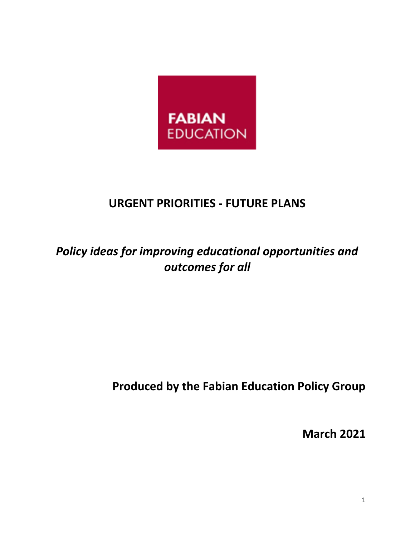

# **URGENT PRIORITIES - FUTURE PLANS**

# *Policy ideas for improving educational opportunities and outcomes for all*

# **Produced by the Fabian Education Policy Group**

**March 2021**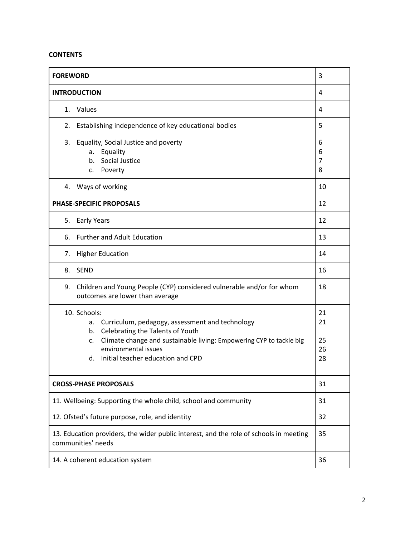### **CONTENTS**

| <b>FOREWORD</b>                                                                                                                                                                                                                                                 | 3                             |
|-----------------------------------------------------------------------------------------------------------------------------------------------------------------------------------------------------------------------------------------------------------------|-------------------------------|
| <b>INTRODUCTION</b>                                                                                                                                                                                                                                             | 4                             |
| Values<br>1.                                                                                                                                                                                                                                                    | 4                             |
| Establishing independence of key educational bodies<br>2.                                                                                                                                                                                                       | 5                             |
| Equality, Social Justice and poverty<br>3.<br>Equality<br>a.<br>Social Justice<br>b.<br>Poverty<br>c.                                                                                                                                                           | 6<br>6<br>$\overline{7}$<br>8 |
| 4. Ways of working                                                                                                                                                                                                                                              | 10                            |
| <b>PHASE-SPECIFIC PROPOSALS</b>                                                                                                                                                                                                                                 | 12                            |
| <b>Early Years</b><br>5.                                                                                                                                                                                                                                        | 12                            |
| <b>Further and Adult Education</b><br>6.                                                                                                                                                                                                                        | 13                            |
| <b>Higher Education</b><br>7.                                                                                                                                                                                                                                   | 14                            |
| <b>SEND</b><br>8.                                                                                                                                                                                                                                               | 16                            |
| 9. Children and Young People (CYP) considered vulnerable and/or for whom<br>outcomes are lower than average                                                                                                                                                     | 18                            |
| 10. Schools:<br>Curriculum, pedagogy, assessment and technology<br>а.<br>Celebrating the Talents of Youth<br>b.<br>Climate change and sustainable living: Empowering CYP to tackle big<br>c.<br>environmental issues<br>Initial teacher education and CPD<br>d. | 21<br>21<br>25<br>26<br>28    |
| <b>CROSS-PHASE PROPOSALS</b>                                                                                                                                                                                                                                    | 31                            |
| 11. Wellbeing: Supporting the whole child, school and community                                                                                                                                                                                                 | 31                            |
| 12. Ofsted's future purpose, role, and identity                                                                                                                                                                                                                 | 32                            |
| 13. Education providers, the wider public interest, and the role of schools in meeting<br>communities' needs                                                                                                                                                    | 35                            |
| 14. A coherent education system                                                                                                                                                                                                                                 | 36                            |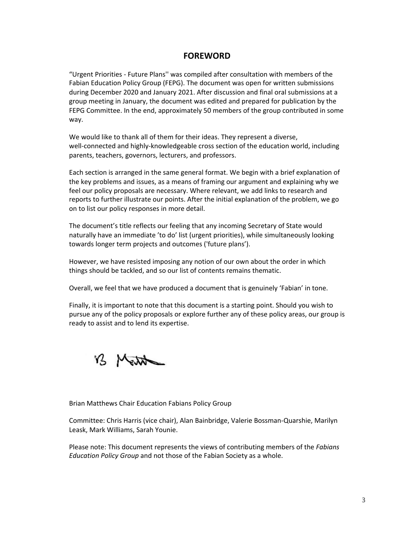## <span id="page-2-0"></span>**FOREWORD**

"Urgent Priorities - Future Plans'' was compiled after consultation with members of the Fabian Education Policy Group (FEPG). The document was open for written submissions during December 2020 and January 2021. After discussion and final oral submissions at a group meeting in January, the document was edited and prepared for publication by the FEPG Committee. In the end, approximately 50 members of the group contributed in some way.

We would like to thank all of them for their ideas. They represent a diverse, well-connected and highly-knowledgeable cross section of the education world, including parents, teachers, governors, lecturers, and professors.

Each section is arranged in the same general format. We begin with a brief explanation of the key problems and issues, as a means of framing our argument and explaining why we feel our policy proposals are necessary. Where relevant, we add links to research and reports to further illustrate our points. After the initial explanation of the problem, we go on to list our policy responses in more detail.

The document's title reflects our feeling that any incoming Secretary of State would naturally have an immediate 'to do' list (urgent priorities), while simultaneously looking towards longer term projects and outcomes ('future plans').

However, we have resisted imposing any notion of our own about the order in which things should be tackled, and so our list of contents remains thematic.

Overall, we feel that we have produced a document that is genuinely 'Fabian' in tone.

Finally, it is important to note that this document is a starting point. Should you wish to pursue any of the policy proposals or explore further any of these policy areas, our group is ready to assist and to lend its expertise.

B Matthe

Brian Matthews Chair Education Fabians Policy Group

Committee: Chris Harris (vice chair), Alan Bainbridge, Valerie Bossman-Quarshie, Marilyn Leask, Mark Williams, Sarah Younie.

Please note: This document represents the views of contributing members of the *Fabians Education Policy Group* and not those of the Fabian Society as a whole.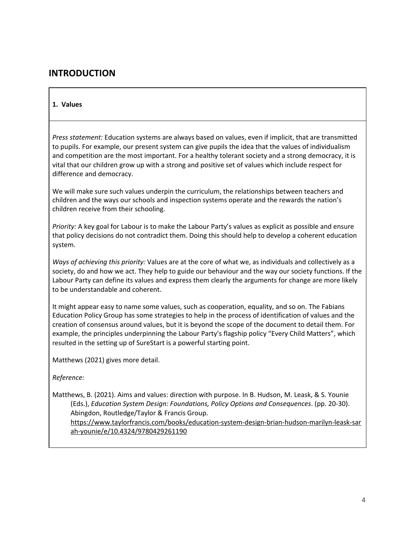## <span id="page-3-0"></span>**INTRODUCTION**

#### <span id="page-3-1"></span>**1. Values**

*Press statement:* Education systems are always based on values, even if implicit, that are transmitted to pupils. For example, our present system can give pupils the idea that the values of individualism and competition are the most important. For a healthy tolerant society and a strong democracy, it is vital that our children grow up with a strong and positive set of values which include respect for difference and democracy.

We will make sure such values underpin the curriculum, the relationships between teachers and children and the ways our schools and inspection systems operate and the rewards the nation's children receive from their schooling.

*Priority:* A key goal for Labour is to make the Labour Party's values as explicit as possible and ensure that policy decisions do not contradict them. Doing this should help to develop a coherent education system.

*Ways of achieving this priority:* Values are at the core of what we, as individuals and collectively as a society, do and how we act. They help to guide our behaviour and the way our society functions. If the Labour Party can define its values and express them clearly the arguments for change are more likely to be understandable and coherent.

It might appear easy to name some values, such as cooperation, equality, and so on. The Fabians Education Policy Group has some strategies to help in the process of identification of values and the creation of consensus around values, but it is beyond the scope of the document to detail them. For example, the principles underpinning the Labour Party's flagship policy "Every Child Matters", which resulted in the setting up of SureStart is a powerful starting point.

Matthews (2021) gives more detail.

*Reference:*

Matthews, B. (2021). Aims and values: direction with purpose. In B. Hudson, M. Leask, & S. Younie (Eds.), *Education System Design: Foundations, Policy Options and Consequences*. (pp. 20-30). Abingdon, Routledge/Taylor & Francis Group. [https://www.taylorfrancis.com/books/education-system-design-brian-hudson-marilyn-leask-sar](https://www.taylorfrancis.com/books/education-system-design-brian-hudson-marilyn-leask-sarah-younie/e/10.4324/9780429261190) [ah-younie/e/10.4324/9780429261190](https://www.taylorfrancis.com/books/education-system-design-brian-hudson-marilyn-leask-sarah-younie/e/10.4324/9780429261190)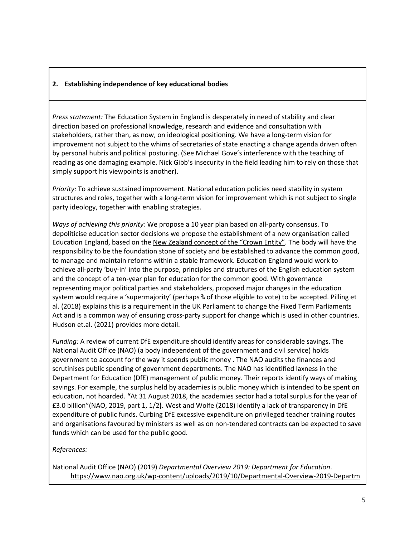## **2. Establishing independence of key educational bodies**

*Press statement:* The Education System in England is desperately in need of stability and clear direction based on professional knowledge, research and evidence and consultation with stakeholders, rather than, as now, on ideological positioning. We have a long-term vision for improvement not subject to the whims of secretaries of state enacting a change agenda driven often by personal hubris and political posturing. (See Michael Gove's interference with the teaching of reading as one damaging example. Nick Gibb's insecurity in the field leading him to rely on those that simply support his viewpoints is another).

*Priority:* To achieve sustained improvement. National education policies need stability in system structures and roles, together with a long-term vision for improvement which is not subject to single party ideology, together with enabling strategies.

*Ways of achieving this priority:* We propose a 10 year plan based on all-party consensus. To depoliticise education sector decisions we propose the establishment of a new organisation called Education England, based on the New Zealand [concept](https://www.publicservice.govt.nz/our-work/crown-entities/) of the "Crown Entity". The body will have the responsibility to be the foundation stone of society and be established to advance the common good, to manage and maintain reforms within a stable framework. Education England would work to achieve all-party 'buy-in' into the purpose, principles and structures of the English education system and the concept of a ten-year plan for education for the common good. With governance representing major political parties and stakeholders, proposed major changes in the education system would require a 'supermajority' (perhaps ⅔ of those eligible to vote) to be accepted. Pilling et al. (2018) explains this is a requirement in the UK Parliament to change the Fixed Term Parliaments Act and is a common way of ensuring cross-party support for change which is used in other countries. Hudson et.al. (2021) provides more detail.

*Funding:* A review of current DfE expenditure should identify areas for considerable savings. The National Audit Office (NAO) (a body independent of the government and civil service) holds government to account for the way it spends public money . The NAO audits the finances and scrutinises public spending of government departments. The NAO has identified laxness in the Department for Education (DfE) management of public money. Their reports identify ways of making savings. For example, the surplus held by academies is public money which is intended to be spent on education, not hoarded. **"**At 31 August 2018, the academies sector had a total surplus for the year of £3.0 billion"(NAO, 2019, part 1, 1/2**).** West and Wolfe (2018) identify a lack of transparency in DfE expenditure of public funds. Curbing DfE excessive expenditure on privileged teacher training routes and organisations favoured by ministers as well as on non-tendered contracts can be expected to save funds which can be used for the public good.

#### *References:*

National Audit Office (NAO) (2019) *Departmental Overview 2019: Department for Education*. [https://www.nao.org.uk/wp-content/uploads/2019/10/Departmental-Overview-2019-Departm](https://www.nao.org.uk/wp-content/uploads/2019/10/Departmental-Overview-2019-Department-for-Education.pdf)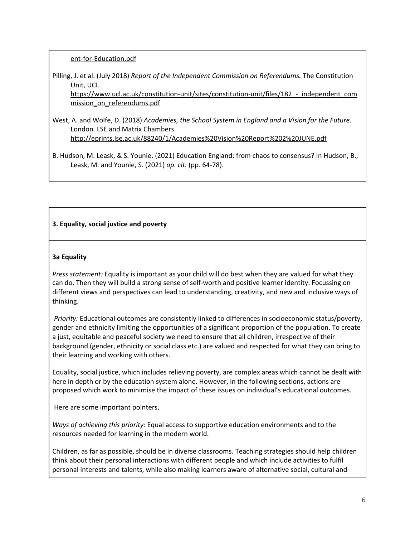### [ent-for-Education.pdf](https://www.nao.org.uk/wp-content/uploads/2019/10/Departmental-Overview-2019-Department-for-Education.pdf)

Pilling, J. et al. (July 2018) *Report of the Independent Commission on Referendums.* The Constitution Unit, UCL.

https://www.ucl.ac.uk/constitution-unit/sites/constitution-unit/files/182 - independent\_com [mission\\_on\\_referendums.pdf](https://www.ucl.ac.uk/constitution-unit/sites/constitution-unit/files/182_-_independent_commission_on_referendums.pdf)

- West, A. and Wolfe, D. (2018) *Academies, the School System in England and a Vision for the Future*. London. LSE and Matrix Chambers. <http://eprints.lse.ac.uk/88240/1/Academies%20Vision%20Report%202%20JUNE.pdf>
- B. Hudson, M. Leask, & S. Younie. (2021) Education England: from chaos to consensus? In Hudson, B., Leask, M. and Younie, S. (2021) *op. cit.* (pp. 64-78).

## <span id="page-5-0"></span>**3. Equality, social justice and poverty**

### <span id="page-5-1"></span>**3a Equality**

*Press statement:* Equality is important as your child will do best when they are valued for what they can do. Then they will build a strong sense of self-worth and positive learner identity. Focussing on different views and perspectives can lead to understanding, creativity, and new and inclusive ways of thinking.

*Priority:* Educational outcomes are consistently linked to differences in socioeconomic status/poverty, gender and ethnicity limiting the opportunities of a significant proportion of the population. To create a just, equitable and peaceful society we need to ensure that all children, irrespective of their background (gender, ethnicity or social class etc.) are valued and respected for what they can bring to their learning and working with others.

Equality, social justice, which includes relieving poverty, are complex areas which cannot be dealt with here in depth or by the education system alone. However, in the following sections, actions are proposed which work to minimise the impact of these issues on individual's educational outcomes.

Here are some important pointers.

*Ways of achieving this priority:* Equal access to supportive education environments and to the resources needed for learning in the modern world.

Children, as far as possible, should be in diverse classrooms. Teaching strategies should help children think about their personal interactions with different people and which include activities to fulfil personal interests and talents, while also making learners aware of alternative social, cultural and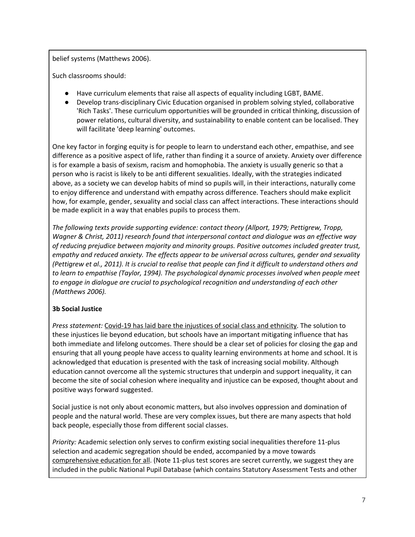belief systems (Matthews 2006).

Such classrooms should:

- Have curriculum elements that raise all aspects of equality including LGBT, BAME.
- Develop trans-disciplinary Civic Education organised in problem solving styled, collaborative 'Rich Tasks'. These curriculum opportunities will be grounded in critical thinking, discussion of power relations, cultural diversity, and sustainability to enable content can be localised. They will facilitate 'deep learning' outcomes.

One key factor in forging equity is for people to learn to understand each other, empathise, and see difference as a positive aspect of life, rather than finding it a source of anxiety. Anxiety over difference is for example a basis of sexism, racism and homophobia. The anxiety is usually generic so that a person who is racist is likely to be anti different sexualities. Ideally, with the strategies indicated above, as a society we can develop habits of mind so pupils will, in their interactions, naturally come to enjoy difference and understand with empathy across difference. Teachers should make explicit how, for example, gender, sexuality and social class can affect interactions. These interactions should be made explicit in a way that enables pupils to process them.

*The following texts provide supporting evidence: contact theory (Allport, 1979; Pettigrew, Tropp, Wagner & Christ, 2011) research found that interpersonal contact and dialogue was an effective way of reducing prejudice between majority and minority groups. Positive outcomes included greater trust, empathy and reduced anxiety. The effects appear to be universal across cultures, gender and sexuality* (Pettigrew et al., 2011). It is crucial to realise that people can find it difficult to understand others and *to learn to empathise (Taylor, 1994). The psychological dynamic processes involved when people meet to engage in dialogue are crucial to psychological recognition and understanding of each other (Matthews 2006).*

## <span id="page-6-0"></span>**3b Social Justice**

*Press statement:* Covid-19 has laid bare the [injustices](https://www.ifs.org.uk/inequality/covid-19-and-inequalities/) of social class and ethnicity. The solution to these injustices lie beyond education, but schools have an important mitigating influence that has both immediate and lifelong outcomes. There should be a clear set of policies for closing the gap and ensuring that all young people have access to quality learning environments at home and school. It is acknowledged that education is presented with the task of increasing social mobility. Although education cannot overcome all the systemic structures that underpin and support inequality, it can become the site of social cohesion where inequality and injustice can be exposed, thought about and positive ways forward suggested.

Social justice is not only about economic matters, but also involves oppression and domination of people and the natural world. These are very complex issues, but there are many aspects that hold back people, especially those from different social classes.

*Priority:* Academic selection only serves to confirm existing social inequalities therefore 11-plus selection and academic segregation should be ended, accompanied by a move towards [comprehensive](https://www.tandfonline.com/doi/full/10.1080/01425692.2018.1443432) education for all. (Note 11-plus test scores are secret currently, we suggest they are included in the public National Pupil Database (which contains Statutory Assessment Tests and other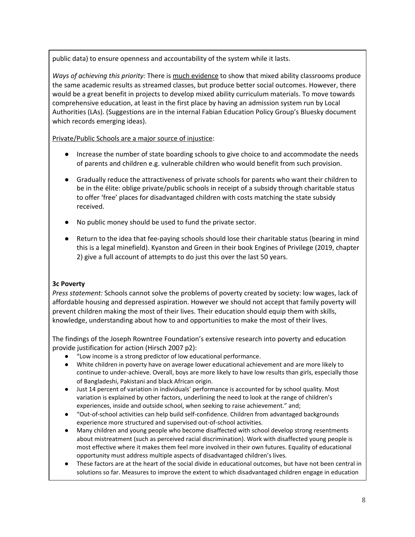public data) to ensure openness and accountability of the system while it lasts.

*Ways of achieving this priority:* There is much [evidence](https://journals.sagepub.com/doi/full/10.1177/2158244018825171) to show that mixed ability classrooms produce the same academic results as streamed classes, but produce better social outcomes. However, there would be a great benefit in projects to develop mixed ability curriculum materials. To move towards comprehensive education, at least in the first place by having an admission system run by Local Authorities (LAs). (Suggestions are in the internal Fabian Education Policy Group's Bluesky document which records emerging ideas).

[Private/Public](https://onlinelibrary.wiley.com/doi/10.1111/tesg.12413) Schools are a major source of injustice:

- Increase the number of state boarding schools to give choice to and accommodate the needs of parents and children e.g. vulnerable children who would benefit from such provision.
- Gradually reduce the attractiveness of private schools for parents who want their children to be in the élite: oblige private/public schools in receipt of a subsidy through charitable status to offer 'free' places for disadvantaged children with costs matching the state subsidy received.
- No public money should be used to fund the private sector.
- Return to the idea that fee-paying schools should lose their charitable status (bearing in mind this is a legal minefield). Kyanston and Green in their book Engines of Privilege (2019, chapter 2) give a full account of attempts to do just this over the last 50 years.

## **3c Poverty**

*Press statement:* Schools cannot solve the problems of poverty created by society: low wages, lack of affordable housing and depressed aspiration. However we should not accept that family poverty will prevent children making the most of their lives. Their education should equip them with skills, knowledge, understanding about how to and opportunities to make the most of their lives.

The findings of the Joseph Rowntree Foundation's extensive research into poverty and education provide justification for action (Hirsch 2007 p2):

- "Low income is a strong predictor of low educational performance.
- White children in poverty have on average lower educational achievement and are more likely to continue to under-achieve. Overall, boys are more likely to have low results than girls, especially those of Bangladeshi, Pakistani and black African origin.
- Just 14 percent of variation in individuals' performance is accounted for by school quality. Most variation is explained by other factors, underlining the need to look at the range of children's experiences, inside and outside school, when seeking to raise achievement." and;
- "Out-of-school activities can help build self-confidence. Children from advantaged backgrounds experience more structured and supervised out-of-school activities.
- Many children and young people who become disaffected with school develop strong resentments about mistreatment (such as perceived racial discrimination). Work with disaffected young people is most effective where it makes them feel more involved in their own futures. Equality of educational opportunity must address multiple aspects of disadvantaged children's lives.
- These factors are at the heart of the social divide in educational outcomes, but have not been central in solutions so far. Measures to improve the extent to which disadvantaged children engage in education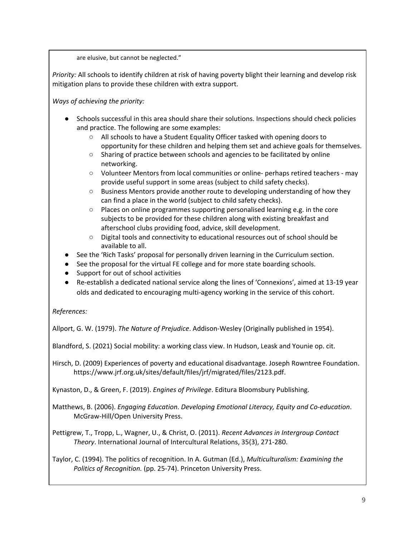are elusive, but cannot be neglected."

*Priority:* All schools to identify children at risk of having poverty blight their learning and develop risk mitigation plans to provide these children with extra support.

*Ways of achieving the priority:*

- Schools successful in this area should share their solutions. Inspections should check policies and practice. The following are some examples:
	- All schools to have a Student Equality Officer tasked with opening doors to opportunity for these children and helping them set and achieve goals for themselves.
	- Sharing of practice between schools and agencies to be facilitated by online networking.
	- Volunteer Mentors from local communities or online- perhaps retired teachers may provide useful support in some areas (subject to child safety checks).
	- Business Mentors provide another route to developing understanding of how they can find a place in the world (subject to child safety checks).
	- $\circ$  Places on online programmes supporting personalised learning e.g. in the core subjects to be provided for these children along with existing breakfast and afterschool clubs providing food, advice, skill development.
	- Digital tools and connectivity to educational resources out of school should be available to all.
- See the 'Rich Tasks' proposal for personally driven learning in the Curriculum section.
- See the proposal for the virtual FE college and for more state boarding schools.
- Support for out of school activities
- Re-establish a dedicated national service along the lines of 'Connexions', aimed at 13-19 year olds and dedicated to encouraging multi-agency working in the service of this cohort.

## *References:*

Allport, G. W. (1979). *The Nature of Prejudice*. Addison-Wesley (Originally published in 1954).

Blandford, S. (2021) Social mobility: a working class view. In Hudson, Leask and Younie op. cit.

Hirsch, D. (2009) Experiences of poverty and educational disadvantage. Joseph Rowntree Foundation. https://www.jrf.org.uk/sites/default/files/jrf/migrated/files/2123.pdf.

Kynaston, D., & Green, F. (2019). *Engines of Privilege*. Editura Bloomsbury Publishing.

Matthews, B. (2006). *Engaging Education. Developing Emotional Literacy, Equity and Co-education*. McGraw-Hill/Open University Press.

Pettigrew, T., Tropp, L., Wagner, U., & Christ, O. (2011). *Recent Advances in Intergroup Contact Theory*. International Journal of Intercultural Relations, 35(3), 271-280.

Taylor, C. (1994). The politics of recognition. In A. Gutman (Ed.), *Multiculturalism: Examining the Politics of Recognition.* (pp. 25-74). Princeton University Press.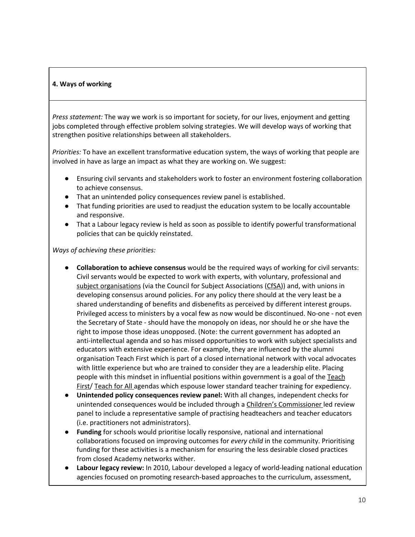### <span id="page-9-0"></span>**4. Ways of working**

*Press statement:* The way we work is so important for society, for our lives, enjoyment and getting jobs completed through effective problem solving strategies. We will develop ways of working that strengthen positive relationships between all stakeholders.

*Priorities:* To have an excellent transformative education system, the ways of working that people are involved in have as large an impact as what they are working on. We suggest:

- Ensuring civil servants and stakeholders work to foster an environment fostering collaboration to achieve consensus.
- That an unintended policy consequences review panel is established.
- That funding priorities are used to readjust the education system to be locally accountable and responsive.
- That a Labour legacy review is held as soon as possible to identify powerful transformational policies that can be quickly reinstated.

*Ways of achieving these priorities:*

- **Collaboration to achieve consensus** would be the required ways of working for civil servants: Civil servants would be expected to work with experts, with voluntary, professional and subject [organisations](https://www.subjectassociations.org.uk/) (via the Council for Subject Associations ([CfSA\)](https://www.subjectassociations.org.uk/)) and, with unions in developing consensus around policies. For any policy there should at the very least be a shared understanding of benefits and disbenefits as perceived by different interest groups. Privileged access to ministers by a vocal few as now would be discontinued. No-one - not even the Secretary of State - should have the monopoly on ideas, nor should he or she have the right to impose those ideas unopposed. (Note: the current government has adopted an anti-intellectual agenda and so has missed opportunities to work with subject specialists and educators with extensive experience. For example, they are influenced by the alumni organisation Teach First which is part of a closed international network with vocal advocates with little experience but who are trained to consider they are a leadership elite. Placing people with this mindset in influential positions within government is a goal of the [Teach](https://www.teachfirst.org.uk/) [First/](https://www.teachfirst.org.uk/) [Teach](https://teachforall.org/) for All agendas which espouse lower standard teacher training for expediency.
- **Unintended policy consequences review panel:** With all changes, independent checks for unintended consequences would be included through a Children's [Commissioner](https://www.childrenscommissioner.gov.uk/) led review panel to include a representative sample of practising headteachers and teacher educators (i.e. practitioners not administrators).
- Funding for schools would prioritise locally responsive, national and international collaborations focused on improving outcomes for *every child* in the community. Prioritising funding for these activities is a mechanism for ensuring the less desirable closed practices from closed Academy networks wither.
- **Labour legacy review:** In 2010, Labour developed a legacy of world-leading national education agencies focused on promoting research-based approaches to the curriculum, assessment,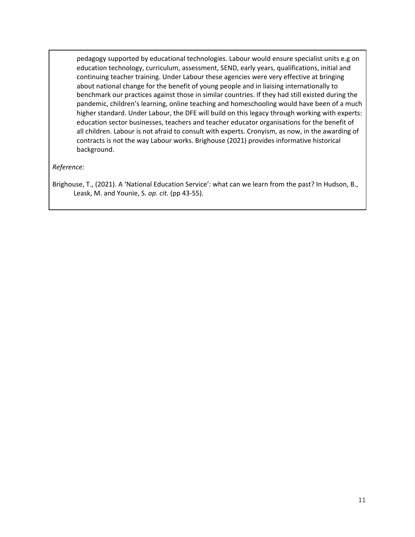pedagogy supported by educational technologies. Labour would ensure specialist units e.g on education technology, curriculum, assessment, SEND, early years, qualifications, initial and continuing teacher training. Under Labour these agencies were very effective at bringing about national change for the benefit of young people and in liaising internationally to benchmark our practices against those in similar countries. If they had still existed during the pandemic, children's learning, online teaching and homeschooling would have been of a much higher standard. Under Labour, the DFE will build on this legacy through working with experts: education sector businesses, teachers and teacher educator organisations for the benefit of all children. Labour is not afraid to consult with experts. Cronyism, as now, in the awarding of contracts is not the way Labour works. Brighouse (2021) provides informative historical background.

*Reference:*

Brighouse, T., (2021). A 'National Education Service': what can we learn from the past? In Hudson, B., Leask, M. and Younie, S. *op. cit.* (pp 43-55).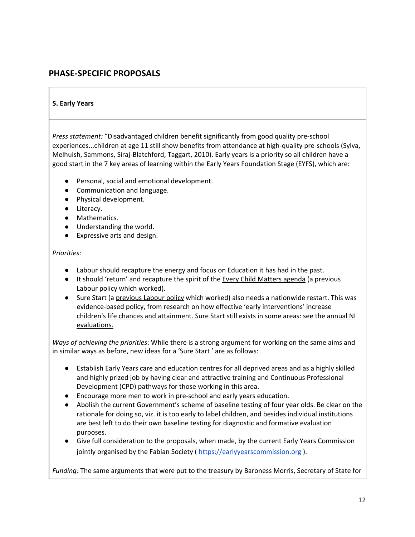## <span id="page-11-0"></span>**PHASE-SPECIFIC PROPOSALS**

### <span id="page-11-1"></span>**5. Early Years**

*Press statement:* "Disadvantaged children benefit significantly from good quality pre-school experiences...children at age 11 still show benefits from attendance at high-quality pre-schools (Sylva, Melhuish, Sammons, Siraj-Blatchford, Taggart, 2010). Early years is a priority so all children have a good start in the 7 key areas of learning within the Early Years [Foundation](https://www.northamptonshire.gov.uk/councilservices/children-families-education/early-years/information-for-childcare-providers/the-early-years-curriculum/Pages/learning-and-development-within-the-early-years-foundation-stage.aspx) Stage (EYFS), which are:

- Personal, social and emotional development.
- Communication and language.
- Physical development.
- Literacy.
- Mathematics.
- Understanding the world.
- Expressive arts and design.

#### *Priorities*:

- Labour should recapture the energy and focus on Education it has had in the past.
- It should 'return' and recapture the spirit of the **Every Child [Matters](https://www.gov.uk/government/publications/every-child-matters) agenda** (a previous Labour policy which worked).
- Sure Start (a [previous](https://publications.parliament.uk/pa/cm200910/cmselect/cmchilsch/130/13002.htm) Labour policy which worked) also needs a nationwide restart. This was [evidence-based](https://www.instituteforgovernment.org.uk/sites/default/files/publications/Implementing%20Sure%20Start%20Childrens%20Centres%20-%20final_0.pdf) policy, from research on how effective 'early [interventions'](https://publications.parliament.uk/pa/cm200910/cmselect/cmchilsch/130/13006.htm#a3) increase children's life chances and [attainment.](https://publications.parliament.uk/pa/cm200910/cmselect/cmchilsch/130/13006.htm#a3) Sure Start still exists in some areas: see the [annual](https://www.education-ni.gov.uk/articles/sure-start) NI [evaluations.](https://www.education-ni.gov.uk/articles/sure-start)

*Ways of achieving the priorities*: While there is a strong argument for working on the same aims and in similar ways as before, new ideas for a 'Sure Start ' are as follows:

- Establish Early Years care and education centres for all deprived areas and as a highly skilled and highly prized job by having clear and attractive training and Continuous Professional Development (CPD) pathways for those working in this area.
- Encourage more men to work in pre-school and early years education.
- Abolish the current Government's scheme of baseline testing of four year olds. Be clear on the rationale for doing so, viz. it is too early to label children, and besides individual institutions are best left to do their own baseline testing for diagnostic and formative evaluation purposes.
- Give full consideration to the proposals, when made, by the current Early Years Commission jointly organised by the Fabian Society ( [https://earlyyearscommission.org](https://earlyyearscommission.org/) ).

*Funding:* The same arguments that were put to the treasury by Baroness Morris, Secretary of State for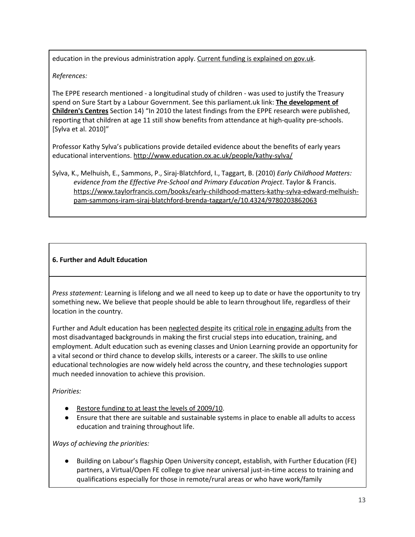education in the previous administration apply. Current funding is [explained](https://www.gov.uk/government/publications/funding-for-sure-start-childrens-centres) on gov.uk.

## *References:*

The EPPE research mentioned - a longitudinal study of children - was used to justify the Treasury spend on Sure Start by a Labour Government. See this parliament.uk link: **The [development](https://publications.parliament.uk/pa/cm200910/cmselect/cmchilsch/130/13006.htm#a3) of [Children's](https://publications.parliament.uk/pa/cm200910/cmselect/cmchilsch/130/13006.htm#a3) Centres** Section 14) "In 2010 the latest findings from the EPPE research were published, reporting that children at age 11 still show benefits from attendance at high-quality pre-schools. [Sylva et al. 2010]"

Professor Kathy Sylva's publications provide detailed evidence about the benefits of early years educational interventions. <http://www.education.ox.ac.uk/people/kathy-sylva/>

Sylva, K., Melhuish, E., Sammons, P., Siraj-Blatchford, I., Taggart, B. (2010) *Early Childhood Matters: evidence from the Effective Pre-School and Primary Education Project*. Taylor & Francis. [https://www.taylorfrancis.com/books/early-childhood-matters-kathy-sylva-edward-melhuish](https://www.taylorfrancis.com/books/early-childhood-matters-kathy-sylva-edward-melhuish-pam-sammons-iram-siraj-blatchford-brenda-taggart/e/10.4324/9780203862063)[pam-sammons-iram-siraj-blatchford-brenda-taggart/e/10.4324/9780203862063](https://www.taylorfrancis.com/books/early-childhood-matters-kathy-sylva-edward-melhuish-pam-sammons-iram-siraj-blatchford-brenda-taggart/e/10.4324/9780203862063)

## <span id="page-12-0"></span>**6. Further and Adult Education**

*Press statement:* Learning is lifelong and we all need to keep up to date or have the opportunity to try something new**.** We believe that people should be able to learn throughout life, regardless of their location in the country.

Further and Adult education has been [neglected](https://www.fenews.co.uk/fevoices/35320-further-education-funding-squeeze-set-to-continue) despite its critical role in [engaging](https://theconversation.com/adult-education-needs-an-urgent-and-radical-rethink-39391) adults from the most disadvantaged backgrounds in making the first crucial steps into education, training, and employment. Adult education such as evening classes and Union Learning provide an opportunity for a vital second or third chance to develop skills, interests or a career. The skills to use online educational technologies are now widely held across the country, and these technologies support much needed innovation to achieve this provision.

*Priorities:*

- Restore funding to at least the levels of [2009/10](https://theconversation.com/free-adult-education-is-vital-for-a-healthy-economy-and-uk-politicians-are-finally-starting-to-get-this-126949)).
- Ensure that there are suitable and sustainable systems in place to enable all adults to access education and training throughout life.

*Ways of achieving the priorities:*

Building on Labour's flagship Open University concept, establish, with Further Education (FE) partners, a Virtual/Open FE college to give near universal just-in-time access to training and qualifications especially for those in remote/rural areas or who have work/family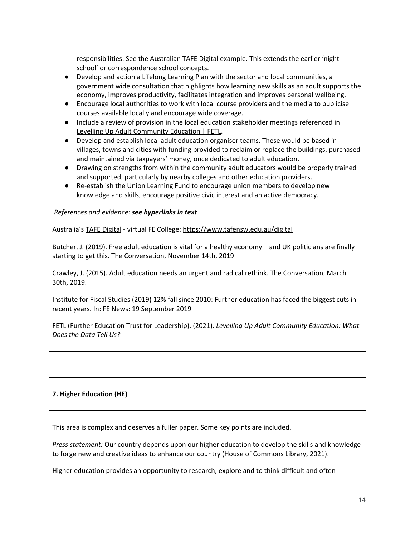responsibilities. See the Australian TAFE Digital [example.](https://www.tafensw.edu.au/digital) This extends the earlier 'night school' or correspondence school concepts.

- [Develop](https://fetl.org.uk/publications/3252/) and action a Lifelong Learning Plan with the sector and local communities, a government wide consultation that highlights how learning new skills as an adult supports the economy, improves productivity, facilitates integration and improves personal wellbeing.
- Encourage local authorities to work with local course providers and the media to publicise courses available locally and encourage wide coverage.
- Include a review of provision in the local education stakeholder meetings referenced in Levelling Up Adult [Community](https://fetl.org.uk/publications/3252/) Education | FETL.
- Develop and establish local adult [education](https://fetl.org.uk/publications/3252/) organiser teams. These would be based in villages, towns and cities with funding provided to reclaim or replace the buildings, purchased and maintained via taxpayers' money, once dedicated to adult education.
- Drawing on strengths from within the community adult educators would be properly trained and supported, particularly by nearby colleges and other education providers.
- Re-establish the Union [Learning](https://www.unionlearn.org.uk/union-learning-fund) Fund to encourage union members to develop new knowledge and skills, encourage positive civic interest and an active democracy.

## *References and evidence: see hyperlinks in text*

Australia's TAFE [Digital](https://www.tafensw.edu.au/digital) - virtual FE College: <https://www.tafensw.edu.au/digital>

Butcher, J. (2019). Free adult education is vital for a healthy economy – and UK politicians are finally starting to get this. The Conversation, November 14th, 2019

Crawley, J. (2015). Adult education needs an urgent and radical rethink. The Conversation, March 30th, 2019.

Institute for Fiscal Studies (2019) 12% fall since 2010: Further education has faced the biggest cuts in recent years. In: FE News: 19 September 2019

FETL (Further Education Trust for Leadership). (2021). *Levelling Up Adult Community Education: What Does the Data Tell Us?*

## <span id="page-13-0"></span>**7. Higher Education (HE)**

This area is complex and deserves a fuller paper. Some key points are included.

*Press statement:* Our country depends upon our higher education to develop the skills and knowledge to forge new and creative ideas to enhance our country (House of Commons Library, 2021).

Higher education provides an opportunity to research, explore and to think difficult and often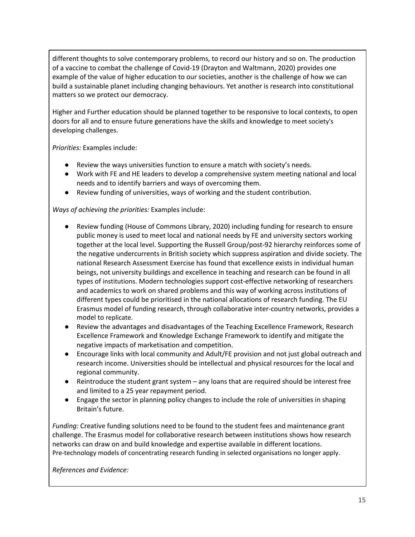different thoughts to solve contemporary problems, to record our history and so on. The production of a vaccine to combat the challenge of Covid-19 (Drayton and Waltmann, 2020) provides one example of the value of higher education to our societies, another is the challenge of how we can build a sustainable planet including changing behaviours. Yet another is research into constitutional matters so we protect our democracy.

Higher and Further education should be planned together to be responsive to local contexts, to open doors for all and to ensure future generations have the skills and knowledge to meet society's developing challenges.

*Priorities:* Examples include:

- Review the ways universities function to ensure a match with society's needs.
- Work with FE and HE leaders to develop a comprehensive system meeting national and local needs and to identify barriers and ways of overcoming them.
- Review funding of universities, ways of working and the student contribution.

*Ways of achieving the priorities:* Examples include:

- Review funding (House of Commons Library, 2020) including funding for research to ensure public money is used to meet local and national needs by FE and university sectors working together at the local level. Supporting the Russell Group/post-92 hierarchy reinforces some of the negative undercurrents in British society which suppress aspiration and divide society. The national Research Assessment Exercise has found that excellence exists in individual human beings, not university buildings and excellence in teaching and research can be found in all types of institutions. Modern technologies support cost-effective networking of researchers and academics to work on shared problems and this way of working across institutions of different types could be prioritised in the national allocations of research funding. The EU Erasmus model of funding research, through collaborative inter-country networks, provides a model to replicate.
- Review the advantages and disadvantages of the Teaching Excellence Framework, Research Excellence Framework and Knowledge Exchange Framework to identify and mitigate the negative impacts of marketisation and competition.
- Encourage links with local community and Adult/FE provision and not just global outreach and research income. Universities should be intellectual and physical resources for the local and regional community.
- Reintroduce the student grant system any loans that are required should be interest free and limited to a 25 year repayment period.
- Engage the sector in planning policy changes to include the role of universities in shaping Britain's future.

*Funding:* Creative funding solutions need to be found to the student fees and maintenance grant challenge. The Erasmus model for collaborative research between institutions shows how research networks can draw on and build knowledge and expertise available in different locations. Pre-technology models of concentrating research funding in selected organisations no longer apply.

*References and Evidence:*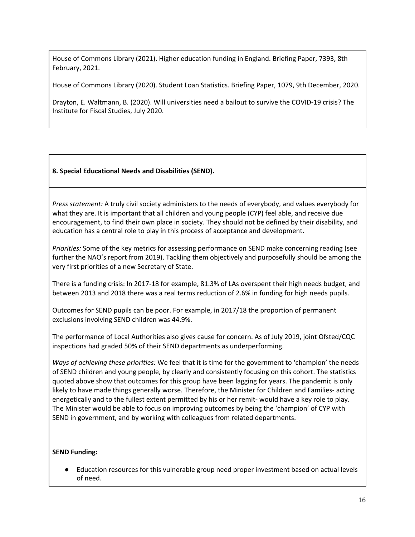House of Commons Library (2021). Higher education funding in England. Briefing Paper, 7393, 8th February, 2021.

House of Commons Library (2020). Student Loan Statistics. Briefing Paper, 1079, 9th December, 2020.

Drayton, E. Waltmann, B. (2020). Will universities need a bailout to survive the COVID-19 crisis? The Institute for Fiscal Studies, July 2020.

## <span id="page-15-0"></span>**8. Special Educational Needs and Disabilities (SEND).**

*Press statement:* A truly civil society administers to the needs of everybody, and values everybody for what they are. It is important that all children and young people (CYP) feel able, and receive due encouragement, to find their own place in society. They should not be defined by their disability, and education has a central role to play in this process of acceptance and development.

*Priorities:* Some of the key metrics for assessing performance on SEND make concerning reading (see further the NAO's report from 2019). Tackling them objectively and purposefully should be among the very first priorities of a new Secretary of State.

There is a funding crisis: In 2017-18 for example, 81.3% of LAs overspent their high needs budget, and between 2013 and 2018 there was a real terms reduction of 2.6% in funding for high needs pupils.

Outcomes for SEND pupils can be poor. For example, in 2017/18 the proportion of permanent exclusions involving SEND children was 44.9%.

The performance of Local Authorities also gives cause for concern. As of July 2019, joint Ofsted/CQC inspections had graded 50% of their SEND departments as underperforming.

*Ways of achieving these priorities:* We feel that it is time for the government to 'champion' the needs of SEND children and young people, by clearly and consistently focusing on this cohort. The statistics quoted above show that outcomes for this group have been lagging for years. The pandemic is only likely to have made things generally worse. Therefore, the Minister for Children and Families- acting energetically and to the fullest extent permitted by his or her remit- would have a key role to play. The Minister would be able to focus on improving outcomes by being the 'champion' of CYP with SEND in government, and by working with colleagues from related departments.

## **SEND Funding:**

Education resources for this vulnerable group need proper investment based on actual levels of need.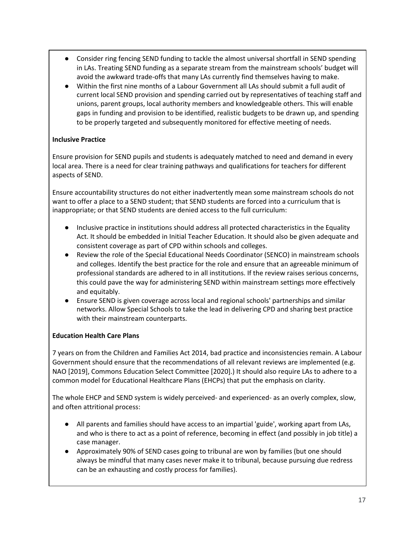- Consider ring fencing SEND funding to tackle the almost universal shortfall in SEND spending in LAs. Treating SEND funding as a separate stream from the mainstream schools' budget will avoid the awkward trade-offs that many LAs currently find themselves having to make.
- Within the first nine months of a Labour Government all LAs should submit a full audit of current local SEND provision and spending carried out by representatives of teaching staff and unions, parent groups, local authority members and knowledgeable others. This will enable gaps in funding and provision to be identified, realistic budgets to be drawn up, and spending to be properly targeted and subsequently monitored for effective meeting of needs.

## **Inclusive Practice**

Ensure provision for SEND pupils and students is adequately matched to need and demand in every local area. There is a need for clear training pathways and qualifications for teachers for different aspects of SEND.

Ensure accountability structures do not either inadvertently mean some mainstream schools do not want to offer a place to a SEND student; that SEND students are forced into a curriculum that is inappropriate; or that SEND students are denied access to the full curriculum:

- Inclusive practice in institutions should address all protected characteristics in the Equality Act. It should be embedded in Initial Teacher Education. It should also be given adequate and consistent coverage as part of CPD within schools and colleges.
- Review the role of the Special Educational Needs Coordinator (SENCO) in mainstream schools and colleges. Identify the best practice for the role and ensure that an agreeable minimum of professional standards are adhered to in all institutions. If the review raises serious concerns, this could pave the way for administering SEND within mainstream settings more effectively and equitably.
- Ensure SEND is given coverage across local and regional schools' partnerships and similar networks. Allow Special Schools to take the lead in delivering CPD and sharing best practice with their mainstream counterparts.

## **Education Health Care Plans**

7 years on from the Children and Families Act 2014, bad practice and inconsistencies remain. A Labour Government should ensure that the recommendations of all relevant reviews are implemented (e.g. NAO [2019], Commons Education Select Committee [2020].) It should also require LAs to adhere to a common model for Educational Healthcare Plans (EHCPs) that put the emphasis on clarity.

The whole EHCP and SEND system is widely perceived- and experienced- as an overly complex, slow, and often attritional process:

- All parents and families should have access to an impartial 'guide', working apart from LAs, and who is there to act as a point of reference, becoming in effect (and possibly in job title) a case manager.
- Approximately 90% of SEND cases going to tribunal are won by families (but one should always be mindful that many cases never make it to tribunal, because pursuing due redress can be an exhausting and costly process for families).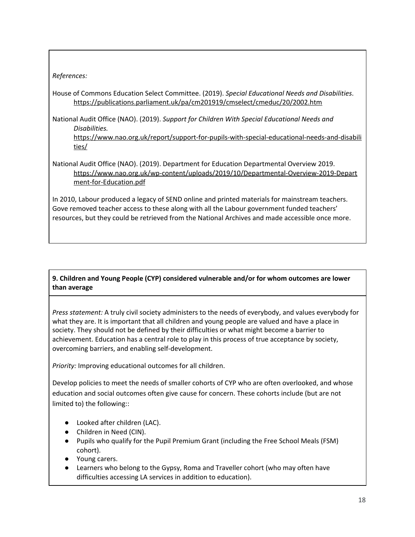## *References:*

House of Commons Education Select Committee. (2019). *Special Educational Needs and Disabilities*. <https://publications.parliament.uk/pa/cm201919/cmselect/cmeduc/20/2002.htm>

National Audit Office (NAO). (2019). *Support for Children With Special Educational Needs and Disabilities.*

[https://www.nao.org.uk/report/support-for-pupils-with-special-educational-needs-and-disabili](https://www.nao.org.uk/report/support-for-pupils-with-special-educational-needs-and-disabilities/) [ties/](https://www.nao.org.uk/report/support-for-pupils-with-special-educational-needs-and-disabilities/)

National Audit Office (NAO). (2019). Department for Education Departmental Overview 2019. [https://www.nao.org.uk/wp-content/uploads/2019/10/Departmental-Overview-2019-Depart](https://www.nao.org.uk/wp-content/uploads/2019/10/Departmental-Overview-2019-Department-for-Education.pdf) [ment-for-Education.pdf](https://www.nao.org.uk/wp-content/uploads/2019/10/Departmental-Overview-2019-Department-for-Education.pdf)

In 2010, Labour produced a legacy of SEND online and printed materials for mainstream teachers. Gove removed teacher access to these along with all the Labour government funded teachers' resources, but they could be retrieved from the National Archives and made accessible once more.

## <span id="page-17-0"></span>**9. Children and Young People (CYP) considered vulnerable and/or for whom outcomes are lower than average**

*Press statement:* A truly civil society administers to the needs of everybody, and values everybody for what they are. It is important that all children and young people are valued and have a place in society. They should not be defined by their difficulties or what might become a barrier to achievement. Education has a central role to play in this process of true acceptance by society, overcoming barriers, and enabling self-development.

*Priority:* Improving educational outcomes for all children.

Develop policies to meet the needs of smaller cohorts of CYP who are often overlooked, and whose education and social outcomes often give cause for concern. These cohorts include (but are not limited to) the following::

- Looked after children (LAC).
- Children in Need (CIN).
- Pupils who qualify for the Pupil Premium Grant (including the Free School Meals (FSM) cohort).
- Young carers.
- Learners who belong to the Gypsy, Roma and Traveller cohort (who may often have difficulties accessing LA services in addition to education).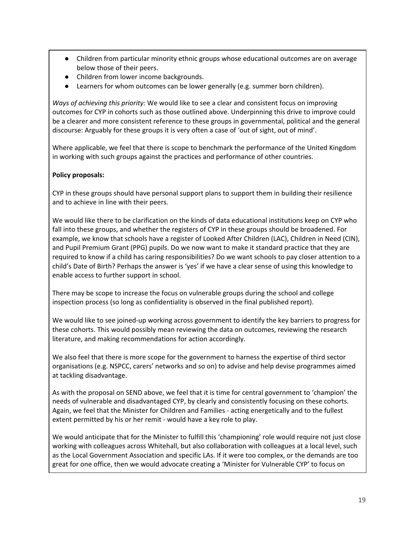- Children from particular minority ethnic groups whose educational outcomes are on average below those of their peers.
- Children from lower income backgrounds.
- Learners for whom outcomes can be lower generally (e.g. summer born children).

*Ways of achieving this priority:* We would like to see a clear and consistent focus on improving outcomes for CYP in cohorts such as those outlined above. Underpinning this drive to improve could be a clearer and more consistent reference to these groups in governmental, political and the general discourse: Arguably for these groups it is very often a case of 'out of sight, out of mind'.

Where applicable, we feel that there is scope to benchmark the performance of the United Kingdom in working with such groups against the practices and performance of other countries.

## **Policy proposals:**

CYP in these groups should have personal support plans to support them in building their resilience and to achieve in line with their peers.

We would like there to be clarification on the kinds of data educational institutions keep on CYP who fall into these groups, and whether the registers of CYP in these groups should be broadened. For example, we know that schools have a register of Looked After Children (LAC), Children in Need (CIN), and Pupil Premium Grant (PPG) pupils. Do we now want to make it standard practice that they are required to know if a child has caring responsibilities? Do we want schools to pay closer attention to a child's Date of Birth? Perhaps the answer is 'yes' if we have a clear sense of using this knowledge to enable access to further support in school.

There may be scope to increase the focus on vulnerable groups during the school and college inspection process (so long as confidentiality is observed in the final published report).

We would like to see joined-up working across government to identify the key barriers to progress for these cohorts. This would possibly mean reviewing the data on outcomes, reviewing the research literature, and making recommendations for action accordingly.

We also feel that there is more scope for the government to harness the expertise of third sector organisations (e.g. NSPCC, carers' networks and so on) to advise and help devise programmes aimed at tackling disadvantage.

As with the proposal on SEND above, we feel that it is time for central government to 'champion' the needs of vulnerable and disadvantaged CYP, by clearly and consistently focusing on these cohorts. Again, we feel that the Minister for Children and Families - acting energetically and to the fullest extent permitted by his or her remit - would have a key role to play.

We would anticipate that for the Minister to fulfill this 'championing' role would require not just close working with colleagues across Whitehall, but also collaboration with colleagues at a local level, such as the Local Government Association and specific LAs. If it were too complex, or the demands are too great for one office, then we would advocate creating a 'Minister for Vulnerable CYP' to focus on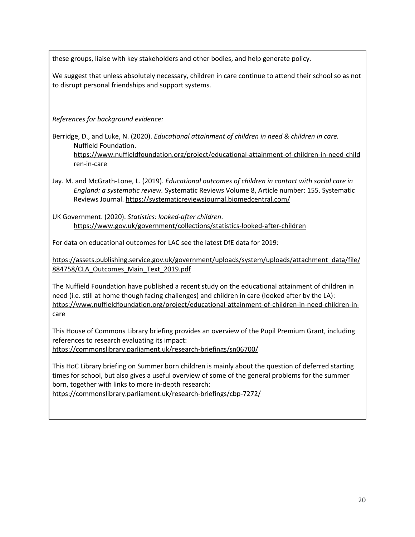these groups, liaise with key stakeholders and other bodies, and help generate policy.

We suggest that unless absolutely necessary, children in care continue to attend their school so as not to disrupt personal friendships and support systems.

*References for background evidence:*

Berridge, D., and Luke, N. (2020). *Educational attainment of children in need & children in care.* Nuffield Foundation. [https://www.nuffieldfoundation.org/project/educational-attainment-of-children-in-need-child](https://www.nuffieldfoundation.org/project/educational-attainment-of-children-in-need-children-in-care) [ren-in-care](https://www.nuffieldfoundation.org/project/educational-attainment-of-children-in-need-children-in-care)

Jay. M. and McGrath-Lone, L. (2019). *Educational outcomes of children in contact with social care in England: a systematic review.* Systematic Reviews Volume 8, Article number: 155. Systematic Reviews Journal. <https://systematicreviewsjournal.biomedcentral.com/>

UK Government. (2020). *Statistics: looked-after children*. <https://www.gov.uk/government/collections/statistics-looked-after-children>

For data on educational outcomes for LAC see the latest DfE data for 2019:

[https://assets.publishing.service.gov.uk/government/uploads/system/uploads/attachment\\_data/file/](https://assets.publishing.service.gov.uk/government/uploads/system/uploads/attachment_data/file/884758/CLA_Outcomes_Main_Text_2019.pdf) [884758/CLA\\_Outcomes\\_Main\\_Text\\_2019.pdf](https://assets.publishing.service.gov.uk/government/uploads/system/uploads/attachment_data/file/884758/CLA_Outcomes_Main_Text_2019.pdf)

The Nuffield Foundation have published a recent study on the educational attainment of children in need (i.e. still at home though facing challenges) and children in care (looked after by the LA): [https://www.nuffieldfoundation.org/project/educational-attainment-of-children-in-need-children-in](https://www.nuffieldfoundation.org/project/educational-attainment-of-children-in-need-children-in-care)[care](https://www.nuffieldfoundation.org/project/educational-attainment-of-children-in-need-children-in-care)

This House of Commons Library briefing provides an overview of the Pupil Premium Grant, including references to research evaluating its impact: <https://commonslibrary.parliament.uk/research-briefings/sn06700/>

This HoC Library briefing on Summer born children is mainly about the question of deferred starting times for school, but also gives a useful overview of some of the general problems for the summer born, together with links to more in-depth research:

<https://commonslibrary.parliament.uk/research-briefings/cbp-7272/>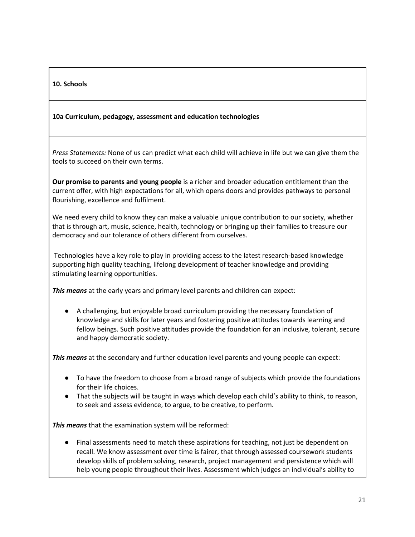## <span id="page-20-0"></span>**10. Schools**

#### <span id="page-20-1"></span>**10a Curriculum, pedagogy, assessment and education technologies**

*Press Statements:* None of us can predict what each child will achieve in life but we can give them the tools to succeed on their own terms.

**Our promise to parents and young people** is a richer and broader education entitlement than the current offer, with high expectations for all, which opens doors and provides pathways to personal flourishing, excellence and fulfilment.

We need every child to know they can make a valuable unique contribution to our society, whether that is through art, music, science, health, technology or bringing up their families to treasure our democracy and our tolerance of others different from ourselves.

Technologies have a key role to play in providing access to the latest research-based knowledge supporting high quality teaching, lifelong development of teacher knowledge and providing stimulating learning opportunities.

*This means* at the early years and primary level parents and children can expect:

● A challenging, but enjoyable broad curriculum providing the necessary foundation of knowledge and skills for later years and fostering positive attitudes towards learning and fellow beings. Such positive attitudes provide the foundation for an inclusive, tolerant, secure and happy democratic society.

*This means* at the secondary and further education level parents and young people can expect:

- To have the freedom to choose from a broad range of subjects which provide the foundations for their life choices.
- That the subjects will be taught in ways which develop each child's ability to think, to reason, to seek and assess evidence, to argue, to be creative, to perform.

*This means* that the examination system will be reformed:

● Final assessments need to match these aspirations for teaching, not just be dependent on recall. We know assessment over time is fairer, that through assessed coursework students develop skills of problem solving, research, project management and persistence which will help young people throughout their lives. Assessment which judges an individual's ability to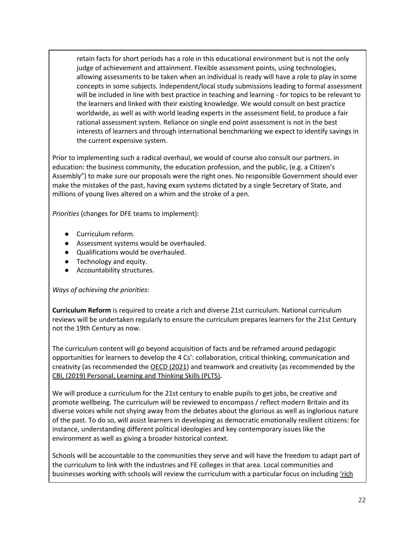retain facts for short periods has a role in this educational environment but is not the only judge of achievement and attainment. Flexible assessment points, using technologies, allowing assessments to be taken when an individual is ready will have a role to play in some concepts in some subjects. Independent/local study submissions leading to formal assessment will be included in line with best practice in teaching and learning - for topics to be relevant to the learners and linked with their existing knowledge. We would consult on best practice worldwide, as well as with world leading experts in the assessment field, to produce a fair rational assessment system. Reliance on single end point assessment is not in the best interests of learners and through international benchmarking we expect to identify savings in the current expensive system.

Prior to implementing such a radical overhaul, we would of course also consult our partners. in education: the business community, the education profession, and the public, (e.g. a Citizen's Assembly") to make sure our proposals were the right ones. No responsible Government should ever make the mistakes of the past, having exam systems dictated by a single Secretary of State, and millions of young lives altered on a whim and the stroke of a pen.

*Priorities* (changes for DFE teams to implement):

- Curriculum reform.
- Assessment systems would be overhauled.
- Qualifications would be overhauled.
- Technology and equity.
- Accountability structures.

#### *Ways of achieving the priorities*:

**Curriculum Reform** is required to create a rich and diverse 21st curriculum. National curriculum reviews will be undertaken regularly to ensure the curriculum prepares learners for the 21st Century not the 19th Century as now.

The curriculum content will go beyond acquisition of facts and be reframed around pedagogic opportunities for learners to develop the 4 Cs': collaboration, critical thinking, communication and creativity (as recommended the [OECD](https://www.oecd.org/pisa/publications/PISA-2021-creative-thinking-framework.pdf) (2021) and teamwork and creativity (as recommended by the CBI, [\(2019\)](https://www.cbi.org.uk/media/2960/cbi_work-readiness.pdf) [Personal,](https://www.gatewayqualifications.org.uk/qualification-area/personal-social-development/personal-learning-thinking/) Learning and Thinking Skills (PLTS)**.**

We will produce a curriculum for the 21st century to enable pupils to get jobs, be creative and promote wellbeing. The curriculum will be reviewed to encompass / reflect modern Britain and its diverse voices while not shying away from the debates about the glorious as well as inglorious nature of the past. To do so, will assist learners in developing as democratic emotionally resilient citizens: for instance, understanding different political ideologies and key contemporary issues like the environment as well as giving a broader historical context.

Schools will be accountable to the communities they serve and will have the freedom to adapt part of the curriculum to link with the industries and FE colleges in that area. Local communities and businesses working with schools will review the curriculum with a particular focus on including ['rich](https://www.fairtest.org/queensland-australia-rich-tasks-assessment-program)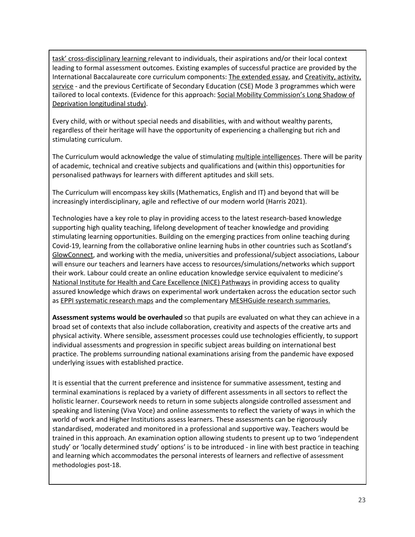task' [cross-disciplinary](https://www.fairtest.org/queensland-australia-rich-tasks-assessment-program) learning relevant to individuals, their aspirations and/or their local context leading to formal assessment outcomes. Existing examples of successful practice are provided by the International Baccalaureate core curriculum components: [T](https://www.ibo.org/programmes/diploma-programme/curriculum/extended-essay/)he [extended](https://www.ibo.org/programmes/diploma-programme/curriculum/extended-essay/) essay, and [Creativity,](https://www.ibo.org/programmes/diploma-programme/curriculum/creativity-activity-and-service/cas-projects/) activity, [service](https://www.ibo.org/programmes/diploma-programme/curriculum/creativity-activity-and-service/cas-projects/) - and the previous Certificate of Secondary Education (CSE) Mode 3 programmes which were tailored to local contexts. (Evidence for this approach[:](https://assets.publishing.service.gov.uk/government/uploads/system/uploads/attachment_data/file/923623/SMC_Long_shadow_of_deprivation_MAIN_REPORT_Accessible.pdf) Social Mobility [Commission's](https://assets.publishing.service.gov.uk/government/uploads/system/uploads/attachment_data/file/923623/SMC_Long_shadow_of_deprivation_MAIN_REPORT_Accessible.pdf) Long Shadow of Deprivation [longitudinal](https://assets.publishing.service.gov.uk/government/uploads/system/uploads/attachment_data/file/923623/SMC_Long_shadow_of_deprivation_MAIN_REPORT_Accessible.pdf) study).

Every child, with or without special needs and disabilities, with and without wealthy parents, regardless of their heritage will have the opportunity of experiencing a challenging but rich and stimulating curriculum.

The Curriculum would acknowled[g](https://help.open.ac.uk/multiple-intelligences)e the value of stimulating multiple [intelligences.](https://help.open.ac.uk/multiple-intelligences) There will be parity of academic, technical and creative subjects and qualifications and (within this) opportunities for personalised pathways for learners with different aptitudes and skill sets.

The Curriculum will encompass key skills (Mathematics, English and IT) and beyond that will be increasingly interdisciplinary, agile and reflective of our modern world (Harris 2021).

Technologies have a key role to play in providing access to the latest research-based knowledge supporting high quality teaching, lifelong development of teacher knowledge and providing stimulating learning opportunities. Building on the emerging practices from online teaching during Covid-19, learning from the collaborative online learning hubs in other countries such as Scotland's [GlowConnect](https://glowconnect.org.uk/), and working with the media, universities and professional/subject associations, Labour will ensure our teachers and learners have access to resources/simulations/networks which support their work. Labour could create an online education knowledge service equivalent to medicine's National Institute for Health and Care [Excellence](https://pathways.nice.org.uk/) (NICE) Pathways in providing access to quality assured knowledge which draws on experimental work undertaken across the education sector such as EPPI [systematic](http://eppi.ioe.ac.uk/cms/Projects/DepartmentofHealthandSocialCare/Publishedreviews/COVID-19Livingsystematicmapoftheevidence/tabid/3765/Default.aspx) research maps and the complementary [MESHGuide](http://meshagain.meshguides.org/articles/) research summaries.

**Assessment systems would be overhauled** so that pupils are evaluated on what they can achieve in a broad set of contexts that also include collaboration, creativity and aspects of the creative arts and physical activity. Where sensible, assessment processes could use technologies efficiently, to support individual assessments and progression in specific subject areas building on international best practice. The problems surrounding national examinations arising from the pandemic have exposed underlying issues with established practice.

It is essential that the current preference and insistence for summative assessment, testing and terminal examinations is replaced by a variety of different assessments in all sectors to reflect the holistic learner. Coursework needs to return in some subjects alongside controlled assessment and speaking and listening (Viva Voce) and online assessments to reflect the variety of ways in which the world of work and Higher Institutions assess learners. These assessments can be rigorously standardised, moderated and monitored in a professional and supportive way. Teachers would be trained in this approach. An examination option allowing students to present up to two 'independent study' or 'locally determined study' options' is to be introduced - in line with best practice in teaching and learning which accommodates the personal interests of learners and reflective of assessment methodologies post-18.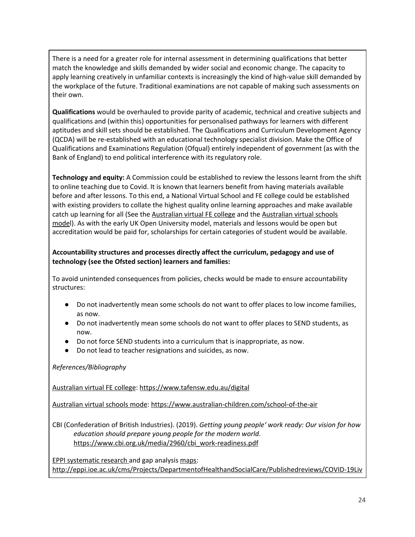There is a need for a greater role for internal assessment in determining qualifications that better match the knowledge and skills demanded by wider social and economic change. The capacity to apply learning creatively in unfamiliar contexts is increasingly the kind of high-value skill demanded by the workplace of the future. Traditional examinations are not capable of making such assessments on their own.

**Qualifications** would be overhauled to provide parity of academic, technical and creative subjects and qualifications and (within this) opportunities for personalised pathways for learners with different aptitudes and skill sets should be established. The Qualifications and Curriculum Development Agency (QCDA) will be re-established with an educational technology specialist division. Make the Office of Qualifications and Examinations Regulation (Ofqual) entirely independent of government (as with the Bank of England) to end political interference with its regulatory role.

**Technology and equity:** A Commission could be established to review the lessons learnt from the shift to online teaching due to Covid. It is known that learners benefit from having materials available before and after lessons. To this end, a National Virtual School and FE college could be established with existing providers to collate the highest quality online learning approaches and make available catch up learning for all (See th[e](https://www.tafensw.edu.au/digital) [Australian](https://www.tafensw.edu.au/digital) virtual FE college and the [Australian](https://www.australian-children.com/school-of-the-air) virtual schools [mode](https://www.australian-children.com/school-of-the-air)l). As with the early UK Open University model, materials and lessons would be open but accreditation would be paid for, scholarships for certain categories of student would be available.

## **Accountability structures and processes directly affect the curriculum, pedagogy and use of technology (see the Ofsted section) learners and families:**

To avoid unintended consequences from policies, checks would be made to ensure accountability structures:

- Do not inadvertently mean some schools do not want to offer places to low income families, as now.
- Do not inadvertently mean some schools do not want to offer places to SEND students, as now.
- Do not force SEND students into a curriculum that is inappropriate, as now.
- Do not lead to teacher resignations and suicides, as now.

*References/Bibliography*

[Australian](https://www.tafensw.edu.au/digital) virtual FE college: <https://www.tafensw.edu.au/digital>

[Australian](https://www.australian-children.com/school-of-the-air) virtual schools mode: <https://www.australian-children.com/school-of-the-air>

CBI (Confederation of British Industries). (2019). *Getting young people' work ready: Our vision for how education should prepare young people for the modern world*. [https://www.cbi.org.uk/media/2960/cbi\\_work-readiness.pdf](https://www.cbi.org.uk/media/2960/cbi_work-readiness.pdf)

EPPI [systematic](http://eppi.ioe.ac.uk/cms/Projects/DepartmentofHealthandSocialCare/Publishedreviews/COVID-19Livingsystematicmapoftheevidence/tabid/3765/Default.aspx) research and gap analysis [maps:](http://eppi.ioe.ac.uk/cms/Projects/DepartmentofHealthandSocialCare/Publishedreviews/COVID-19Livingsystematicmapoftheevidence/tabid/3765/Default.aspx) [http://eppi.ioe.ac.uk/cms/Projects/DepartmentofHealthandSocialCare/Publishedreviews/COVID-19Liv](http://eppi.ioe.ac.uk/cms/Projects/DepartmentofHealthandSocialCare/Publishedreviews/COVID-19Livingsystematicmapoftheevidence/tabid/3765/Default.aspx)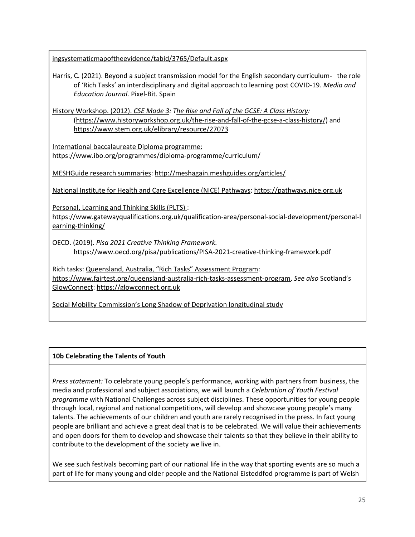[ingsystematicmapoftheevidence/tabid/3765/Default.aspx](http://eppi.ioe.ac.uk/cms/Projects/DepartmentofHealthandSocialCare/Publishedreviews/COVID-19Livingsystematicmapoftheevidence/tabid/3765/Default.aspx)

Harris, C. (2021). Beyond a subject transmission model for the English secondary curriculum- the role of 'Rich Tasks' an interdisciplinary and digital approach to learning post COVID-19. *Media and Education Journal*. Pixel-Bit. Spain

History Workshop. (2012). *CSE [Mode](https://www.stem.org.uk/elibrary/resource/27073) 3: The Rise and Fall of the GCSE: A Class [History](https://www.historyworkshop.org.uk/the-rise-and-fall-of-the-gcse-a-class-history/):* [\(https://www.historyworkshop.org.uk/the-rise-and-fall-of-the-gcse-a-class-history/](https://www.historyworkshop.org.uk/the-rise-and-fall-of-the-gcse-a-class-history/)) and <https://www.stem.org.uk/elibrary/resource/27073>

International [baccalaureate](https://www.ibo.org/programmes/diploma-programme/curriculum/) Diploma programme: https://www.ibo.org/programmes/diploma-programme/curriculum/

[MESHGuide](http://meshagain.meshguides.org/articles/) research summaries: <http://meshagain.meshguides.org/articles/>

National Institute for Health and Care [Excellence](https://pathways.nice.org.uk/) (NICE) Pathways: [https://pathways.nice.org.uk](https://pathways.nice.org.uk/)

[Personal,](https://www.gatewayqualifications.org.uk/qualification-area/personal-social-development/personal-learning-thinking/) Learning and Thinking Skills (PLTS) :

[https://www.gatewayqualifications.org.uk/qualification-area/personal-social-development/personal-l](https://www.gatewayqualifications.org.uk/qualification-area/personal-social-development/personal-learning-thinking/) [earning-thinking/](https://www.gatewayqualifications.org.uk/qualification-area/personal-social-development/personal-learning-thinking/)

OECD. (2019). *Pisa 2021 Creative Thinking Framework.* <https://www.oecd.org/pisa/publications/PISA-2021-creative-thinking-framework.pdf>

Rich tasks: [Queensland,](https://www.fairtest.org/queensland-australia-rich-tasks-assessment-program) Australia, "Rich Tasks" Assessment Program: [https://www.fairtest.org/queensland-australia-rich-tasks-assessment-program.](https://www.fairtest.org/queensland-australia-rich-tasks-assessment-program) *See also* Scotland'[s](https://glowconnect.org.uk/) [GlowConnect](https://glowconnect.org.uk/): [https://glowconnect.org.uk](https://glowconnect.org.uk/)

Social Mobility [Commission's](https://assets.publishing.service.gov.uk/government/uploads/system/uploads/attachment_data/file/923623/SMC_Long_shadow_of_deprivation_MAIN_REPORT_Accessible.pdf) Long Shadow of Deprivation longitudinal study

## <span id="page-24-0"></span>**10b Celebrating the Talents of Youth**

*Press statement:* To celebrate young people's performance, working with partners from business, the media and professional and subject associations, we will launch a *Celebration of Youth Festival programme* with National Challenges across subject disciplines. These opportunities for young people through local, regional and national competitions, will develop and showcase young people's many talents. The achievements of our children and youth are rarely recognised in the press. In fact young people are brilliant and achieve a great deal that is to be celebrated. We will value their achievements and open doors for them to develop and showcase their talents so that they believe in their ability to contribute to the development of the society we live in.

We see such festivals becoming part of our national life in the way that sporting events are so much a part of life for many young and older people and the National Eisteddfod programme is part of Welsh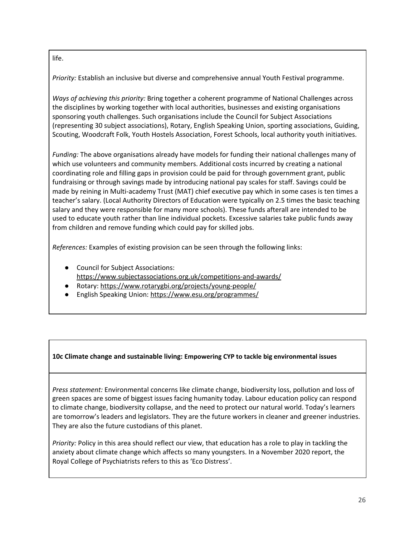life.

*Priority:* Establish an inclusive but diverse and comprehensive annual Youth Festival programme.

*Ways of achieving this priority:* Bring together a coherent programme of National Challenges across the disciplines by working together with local authorities, businesses and existing organisations sponsoring youth challenges. Such organisations include the Council for Subject Associations (representing 30 subject associations), Rotary, English Speaking Union, sporting associations, Guiding, Scouting, Woodcraft Folk, Youth Hostels Association, Forest Schools, local authority youth initiatives.

*Funding:* The above organisations already have models for funding their national challenges many of which use volunteers and community members. Additional costs incurred by creating a national coordinating role and filling gaps in provision could be paid for through government grant, public fundraising or through savings made by introducing national pay scales for staff. Savings could be made by reining in Multi-academy Trust (MAT) chief executive pay which in some cases is ten times a teacher's salary. (Local Authority Directors of Education were typically on 2.5 times the basic teaching salary and they were responsible for many more schools). These funds afterall are intended to be used to educate youth rather than line individual pockets. Excessive salaries take public funds away from children and remove funding which could pay for skilled jobs.

*References:* Examples of existing provision can be seen through the following links:

- Council for Subject Associations:
- <https://www.subjectassociations.org.uk/competitions-and-awards/>
- Rotary: <https://www.rotarygbi.org/projects/young-people/>
- English Speaking Union: <https://www.esu.org/programmes/>

## <span id="page-25-0"></span>**10c Climate change and sustainable living: Empowering CYP to tackle big environmental issues**

*Press statement:* Environmental concerns like climate change, biodiversity loss, pollution and loss of green spaces are some of biggest issues facing humanity today. Labour education policy can respond to climate change, biodiversity collapse, and the need to protect our natural world. Today's learners are tomorrow's leaders and legislators. They are the future workers in cleaner and greener industries. They are also the future custodians of this planet.

*Priority:* Policy in this area should reflect our view, that education has a role to play in tackling the anxiety about climate change which affects so many youngsters. In a November 2020 report, the Royal College of Psychiatrists refers to this as 'Eco Distress'.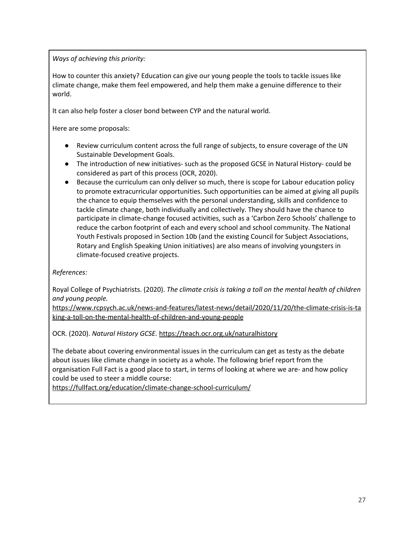*Ways of achieving this priority:*

How to counter this anxiety? Education can give our young people the tools to tackle issues like climate change, make them feel empowered, and help them make a genuine difference to their world.

It can also help foster a closer bond between CYP and the natural world.

Here are some proposals:

- Review curriculum content across the full range of subjects, to ensure coverage of the UN Sustainable Development Goals.
- The introduction of new initiatives- such as the proposed GCSE in Natural History- could be considered as part of this process (OCR, 2020).
- Because the curriculum can only deliver so much, there is scope for Labour education policy to promote extracurricular opportunities. Such opportunities can be aimed at giving all pupils the chance to equip themselves with the personal understanding, skills and confidence to tackle climate change, both individually and collectively. They should have the chance to participate in climate-change focused activities, such as a 'Carbon Zero Schools' challenge to reduce the carbon footprint of each and every school and school community. The National Youth Festivals proposed in Section 10b (and the existing Council for Subject Associations, Rotary and English Speaking Union initiatives) are also means of involving youngsters in climate-focused creative projects.

## *References:*

Royal College of Psychiatrists. (2020). *The climate crisis is taking a toll on the mental health of children and young people.*

[https://www.rcpsych.ac.uk/news-and-features/latest-news/detail/2020/11/20/the-climate-crisis-is-ta](https://www.rcpsych.ac.uk/news-and-features/latest-news/detail/2020/11/20/the-climate-crisis-is-taking-a-toll-on-the-mental-health-of-children-and-young-people) [king-a-toll-on-the-mental-health-of-children-and-young-people](https://www.rcpsych.ac.uk/news-and-features/latest-news/detail/2020/11/20/the-climate-crisis-is-taking-a-toll-on-the-mental-health-of-children-and-young-people)

OCR. (2020). *Natural History GCSE.* <https://teach.ocr.org.uk/naturalhistory>

The debate about covering environmental issues in the curriculum can get as testy as the debate about issues like climate change in society as a whole. The following brief report from the organisation Full Fact is a good place to start, in terms of looking at where we are- and how policy could be used to steer a middle course:

<https://fullfact.org/education/climate-change-school-curriculum/>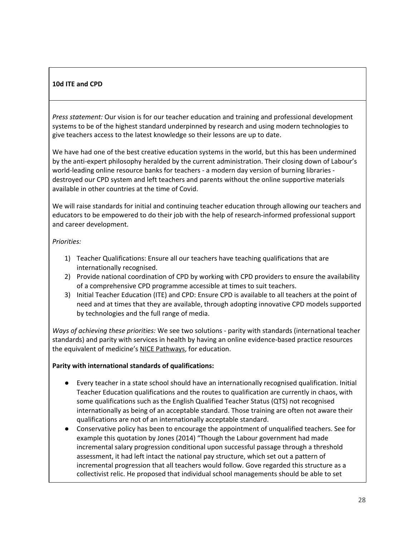## <span id="page-27-0"></span>**10d ITE and CPD**

*Press statement:* Our vision is for our teacher education and training and professional development systems to be of the highest standard underpinned by research and using modern technologies to give teachers access to the latest knowledge so their lessons are up to date.

We have had one of the best creative education systems in the world, but this has been undermined by the anti-expert philosophy heralded by the current administration. Their closing down of Labour's world-leading online resource banks for teachers - a modern day version of burning libraries destroyed our CPD system and left teachers and parents without the online supportive materials available in other countries at the time of Covid.

We will raise standards for initial and continuing teacher education through allowing our teachers and educators to be empowered to do their job with the help of research-informed professional support and career development.

#### *Priorities:*

- 1) Teacher Qualifications: Ensure all our teachers have teaching qualifications that are internationally recognised.
- 2) Provide national coordination of CPD by working with CPD providers to ensure the availability of a comprehensive CPD programme accessible at times to suit teachers.
- 3) Initial Teacher Education (ITE) and CPD: Ensure CPD is available to all teachers at the point of need and at times that they are available, through adopting innovative CPD models supported by technologies and the full range of media.

*Ways of achieving these priorities:* We see two solutions - parity with standards (international teacher standards) and parity with services in health by having an online evidence-based practice resources the equivalent of medicine's NICE [Pathways,](https://pathways.nice.org.uk/) for education.

#### **Parity with international standards of qualifications:**

- Every teacher in a state school should have an internationally recognised qualification. Initial Teacher Education qualifications and the routes to qualification are currently in chaos, with some qualifications such as the English Qualified Teacher Status (QTS) not recognised internationally as being of an acceptable standard. Those training are often not aware their qualifications are not of an internationally acceptable standard.
- Conservative policy has been to encourage the appointment of unqualified teachers. See for example this quotation by Jones (2014) "Though the Labour government had made incremental salary progression conditional upon successful passage through a threshold assessment, it had left intact the national pay structure, which set out a pattern of incremental progression that all teachers would follow. Gove regarded this structure as a collectivist relic. He proposed that individual school managements should be able to set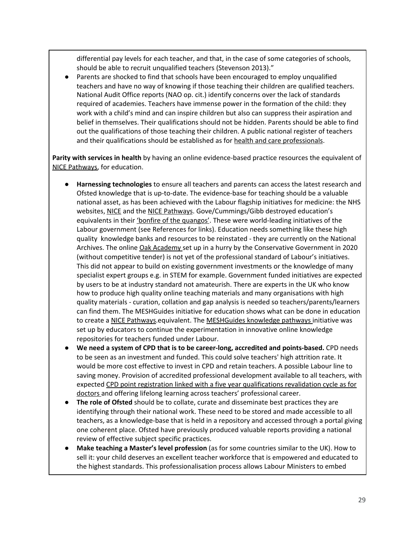differential pay levels for each teacher, and that, in the case of some categories of schools, should be able to recruit unqualified teachers (Stevenson 2013)."

Parents are shocked to find that schools have been encouraged to employ unqualified teachers and have no way of knowing if those teaching their children are qualified teachers. National Audit Office reports (NAO op. cit.) identify concerns over the lack of standards required of academies. Teachers have immense power in the formation of the child: they work with a child's mind and can inspire children but also can suppress their aspiration and belief in themselves. Their qualifications should not be hidden. Parents should be able to find out the qualifications of those teaching their children. A public national register of teachers and their qualifications should be established as for health and care [professionals](https://www.hcpc-uk.org/).

**Parity with services in health** by having an online evidence-based practice resources the equivalent of NICE [Pathways,](https://pathways.nice.org.uk/) for education.

- **Harnessing technologies** to ensure all teachers and parents can access the latest research and Ofsted knowledge that is up-to-date. The evidence-base for teaching should be a valuable national asset, as has been achieved with the Labour flagship initiatives for medicine: the NHS websites, [NICE](https://www.nice.org.uk/) and the NICE [Pathways](https://pathways.nice.org.uk/). Gove/Cummings/Gibb destroyed education's equivalents in their *'bonfire of the [quangos'](https://www.instituteforgovernment.org.uk/news/latest/bonfire-quangos)*. These were world-leading initiatives of the Labour government (see References for links). Education needs something like these high quality knowledge banks and resources to be reinstated - they are currently on the National Archives. The online Oak [Academy](https://www.thenational.academy/) set up in a hurry by the Conservative Government in 2020 (without competitive tender) is not yet of the professional standard of Labour's initiatives. This did not appear to build on existing government investments or the knowledge of many specialist expert groups e.g. in STEM for example. Government funded initiatives are expected by users to be at industry standard not amateurish. There are experts in the UK who know how to produce high quality online teaching materials and many organisations with high quality materials - curation, collation and gap analysis is needed so teachers/parents/learners can find them. The MESHGuides initiative for education shows what can be done in education to create a NICE [Pathways](https://pathways.nice.org.uk/).equivalent. The [MESHGuides](http://meshagain.meshguides.org/articles/) knowledge pathways initiative was set up by educators to continue the experimentation in innovative online knowledge repositories for teachers funded under Labour.
- **We need a system of CPD that is to be career-long, accredited and points-based.** CPD needs to be seen as an investment and funded. This could solve teachers' high attrition rate. It would be more cost effective to invest in CPD and retain teachers. A possible Labour line to saving money. Provision of accredited professional development available to all teachers, with expected CPD point registration linked with a five year [qualifications](https://www.rcplondon.ac.uk/education-practice/advice/cpd-revalidation) revalidation cycle as for [doctors](https://www.rcplondon.ac.uk/education-practice/advice/cpd-revalidation) and offering lifelong learning across teachers' professional career.
- **The role of Ofsted** should be to collate, curate and disseminate best practices they are identifying through their national work. These need to be stored and made accessible to all teachers, as a knowledge-base that is held in a repository and accessed through a portal giving one coherent place. Ofsted have previously produced valuable reports providing a national review of effective subject specific practices.
- **Make teaching a Master's level profession** (as for some countries similar to the UK). How to sell it: your child deserves an excellent teacher workforce that is empowered and educated to the highest standards. This professionalisation process allows Labour Ministers to embed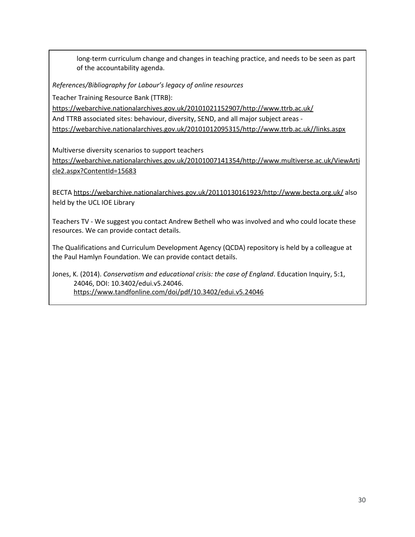long-term curriculum change and changes in teaching practice, and needs to be seen as part of the accountability agenda.

*References/Bibliography for Labour's legacy of online resources*

Teacher Training Resource Bank (TTRB):

<https://webarchive.nationalarchives.gov.uk/20101021152907/http://www.ttrb.ac.uk/>

And TTRB associated sites: behaviour, diversity, SEND, and all major subject areas -

<https://webarchive.nationalarchives.gov.uk/20101012095315/http://www.ttrb.ac.uk//links.aspx>

Multiverse diversity scenarios to support teachers

[https://webarchive.nationalarchives.gov.uk/20101007141354/http://www.multiverse.ac.uk/ViewArti](https://webarchive.nationalarchives.gov.uk/20101007141354/http://www.multiverse.ac.uk/ViewArticle2.aspx?ContentId=15683) [cle2.aspx?ContentId=15683](https://webarchive.nationalarchives.gov.uk/20101007141354/http://www.multiverse.ac.uk/ViewArticle2.aspx?ContentId=15683)

BECTA <https://webarchive.nationalarchives.gov.uk/20110130161923/http://www.becta.org.uk/> also held by the UCL IOE Library

Teachers TV - We suggest you contact Andrew Bethell who was involved and who could locate these resources. We can provide contact details.

The Qualifications and Curriculum Development Agency (QCDA) repository is held by a colleague at the Paul Hamlyn Foundation. We can provide contact details.

Jones, K. (2014). *Conservatism and educational crisis: the case of England*. Education Inquiry, 5:1, 24046, DOI: 10.3402/edui.v5.24046. <https://www.tandfonline.com/doi/pdf/10.3402/edui.v5.24046>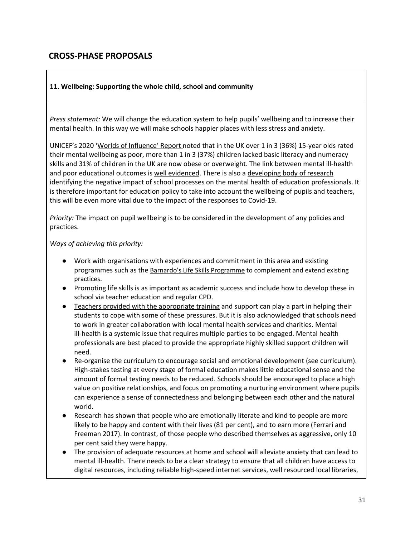## <span id="page-30-0"></span>**CROSS-PHASE PROPOSALS**

#### <span id="page-30-1"></span>**11. Wellbeing: Supporting the whole child, school and community**

*Press statement:* We will change the education system to help pupils' wellbeing and to increase their mental health. In this way we will make schools happier places with less stress and anxiety.

UNICEF's 2020 'Worlds of [Influence'](https://www.unicef-irc.org/child-well-being-report-card-16) Report noted that in the UK over 1 in 3 (36%) 15-year olds rated their mental wellbeing as poor, more than 1 in 3 (37%) children lacked basic literacy and numeracy skills and 31% of children in the UK are now obese or overweight. The link between mental ill-health and poor educational outcomes is well [evidenced](https://www.ucl.ac.uk/brain-sciences/news/2019/feb/study-links-poor-mental-health-educational-outcomes). There is also a [developing](https://www.tandfonline.com/doi/abs/10.1080/19415257.2019.1700152) body of research identifying the negative impact of school processes on the mental health of education professionals. It is therefore important for education policy to take into account the wellbeing of pupils and teachers, this will be even more vital due to the impact of the responses to Covid-19.

*Priority:* The impact on pupil wellbeing is to be considered in the development of any policies and practices.

#### *Ways of achieving this priority:*

- Work with organisations with experiences and commitment in this area and existing programmes such as the [Barnardo's Life Skills Programme](https://barclayslifeskills.com/educators/?campaign=Google_RS-2018_Lifeskills_Brand_Broad&chnnl=PSB&gclid=CjwKCAiAg8OBBhA8EiwAlKw3kiZbBJgwiqFMrd6Hn3HYjxDDB711wJgPmkRm2CRLtVlOnW_EXNfbIRoClf0QAvD_BwE&gclsrc=aw.ds) to complement and extend existing practices.
- Promoting life skills is as important as academic success and include how to develop these in school via teacher education and regular CPD.
- Teachers provided with the [appropriate](https://www.mentallyhealthyschools.org.uk/whole-school-approach/) training and support can play a part in helping their students to cope with some of these pressures. But it is also acknowledged that schools need to work in greater collaboration with local mental health services and charities. Mental ill-health is a systemic issue that requires multiple parties to be engaged. Mental health professionals are best placed to provide the appropriate highly skilled support children will need.
- Re-organise the curriculum to encourage social and emotional development (see curriculum). High-stakes testing at every stage of formal education makes little educational sense and the amount of formal testing needs to be reduced. Schools should be encouraged to place a high value on positive relationships, and focus on promoting a nurturing environment where pupils can experience a sense of connectedness and belonging between each other and the natural world.
- Research has shown that people who are emotionally literate and kind to people are more likely to be happy and content with their lives (81 per cent), and to earn more (Ferrari and Freeman 2017). In contrast, of those people who described themselves as aggressive, only 10 per cent said they were happy.
- The provision of adequate resources at home and school will alleviate anxiety that can lead to mental ill-health. There needs to be a clear strategy to ensure that all children have access to digital resources, including reliable high-speed internet services, well resourced local libraries,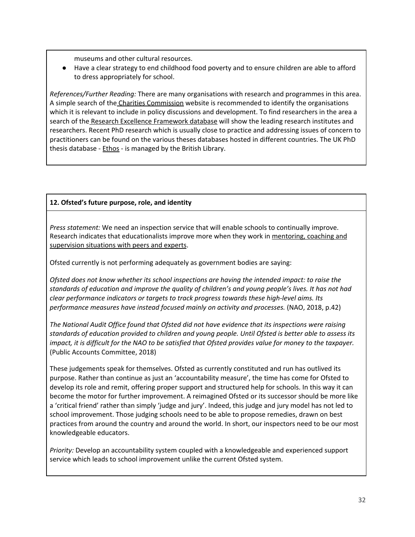museums and other cultural resources.

● Have a clear strategy to end childhood food poverty and to ensure children are able to afford to dress appropriately for school.

*References/Further Reading:* There are many organisations with research and programmes in this area. A simple search of the Charities [Commission](https://www.gov.uk/government/organisations/charity-commission) website is recommended to identify the organisations which it is relevant to include in policy discussions and development. To find researchers in the area a search of the Research Excellence [Framework](https://www.ref.ac.uk/2014/) database will show the leading research institutes and researchers. Recent PhD research which is usually close to practice and addressing issues of concern to practitioners can be found on the various theses databases hosted in different countries. The UK PhD thesis database - [Ethos](https://ethos.bl.uk/Home.do;jsessionid=D6EBE97E7406767CECA3B8A90ED5F644) - is managed by the British Library.

## <span id="page-31-0"></span>**12. Ofsted's future purpose, role, and identity**

*Press statement:* We need an inspection service that will enable schools to continually improve. Research indicates that educationalists improve more when they work in [mentoring,](https://www.tandfonline.com/doi/abs/10.1080/19415257.2019.1700152) coaching and [supervision](https://www.tandfonline.com/doi/abs/10.1080/19415257.2019.1700152) situations with peers and experts.

Ofsted currently is not performing adequately as government bodies are saying:

*Ofsted does not know whether its school inspections are having the intended impact: to raise the standards of education and improve the quality of children's and young people's lives. It has not had clear performance indicators or targets to track progress towards these high-level aims. Its performance measures have instead focused mainly on activity and processes.* (NAO, 2018, p.42)

*The National Audit Office found that Ofsted did not have evidence that its inspections were raising standards of education provided to children and young people. Until Ofsted is better able to assess its* impact, it is difficult for the NAO to be satisfied that Ofsted provides value for money to the taxpayer. (Public Accounts Committee, 2018)

These judgements speak for themselves. Ofsted as currently constituted and run has outlived its purpose. Rather than continue as just an 'accountability measure', the time has come for Ofsted to develop its role and remit, offering proper support and structured help for schools. In this way it can become the motor for further improvement. A reimagined Ofsted or its successor should be more like a 'critical friend' rather than simply 'judge and jury'. Indeed, this judge and jury model has not led to school improvement. Those judging schools need to be able to propose remedies, drawn on best practices from around the country and around the world. In short, our inspectors need to be our most knowledgeable educators.

*Priority:* Develop an accountability system coupled with a knowledgeable and experienced support service which leads to school improvement unlike the current Ofsted system.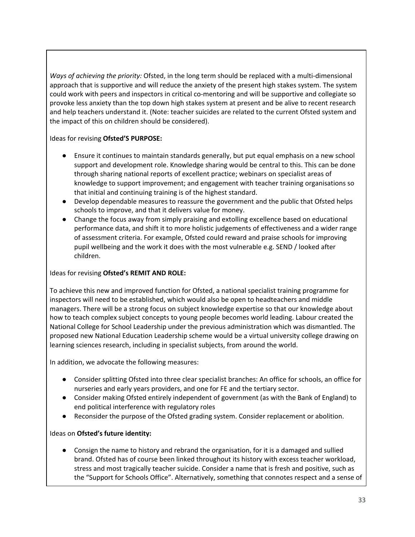*Ways of achieving the priority:* Ofsted, in the long term should be replaced with a multi-dimensional approach that is supportive and will reduce the anxiety of the present high stakes system. The system could work with peers and inspectors in critical co-mentoring and will be supportive and collegiate so provoke less anxiety than the top down high stakes system at present and be alive to recent research and help teachers understand it. (Note: teacher suicides are related to the current Ofsted system and the impact of this on children should be considered).

Ideas for revising **Ofsted'S PURPOSE:**

- Ensure it continues to maintain standards generally, but put equal emphasis on a new school support and development role. Knowledge sharing would be central to this. This can be done through sharing national reports of excellent practice; webinars on specialist areas of knowledge to support improvement; and engagement with teacher training organisations so that initial and continuing training is of the highest standard.
- Develop dependable measures to reassure the government and the public that Ofsted helps schools to improve, and that it delivers value for money.
- Change the focus away from simply praising and extolling excellence based on educational performance data, and shift it to more holistic judgements of effectiveness and a wider range of assessment criteria. For example, Ofsted could reward and praise schools for improving pupil wellbeing and the work it does with the most vulnerable e.g. SEND / looked after children.

## Ideas for revising **Ofsted's REMIT AND ROLE:**

To achieve this new and improved function for Ofsted, a national specialist training programme for inspectors will need to be established, which would also be open to headteachers and middle managers. There will be a strong focus on subject knowledge expertise so that our knowledge about how to teach complex subject concepts to young people becomes world leading. Labour created the National College for School Leadership under the previous administration which was dismantled. The proposed new National Education Leadership scheme would be a virtual university college drawing on learning sciences research, including in specialist subjects, from around the world.

In addition, we advocate the following measures:

- Consider splitting Ofsted into three clear specialist branches: An office for schools, an office for nurseries and early years providers, and one for FE and the tertiary sector.
- Consider making Ofsted entirely independent of government (as with the Bank of England) to end political interference with regulatory roles
- Reconsider the purpose of the Ofsted grading system. Consider replacement or abolition.

## Ideas on **Ofsted's future identity:**

● Consign the name to history and rebrand the organisation, for it is a damaged and sullied brand. Ofsted has of course been linked throughout its history with excess teacher workload, stress and most tragically teacher suicide. Consider a name that is fresh and positive, such as the "Support for Schools Office". Alternatively, something that connotes respect and a sense of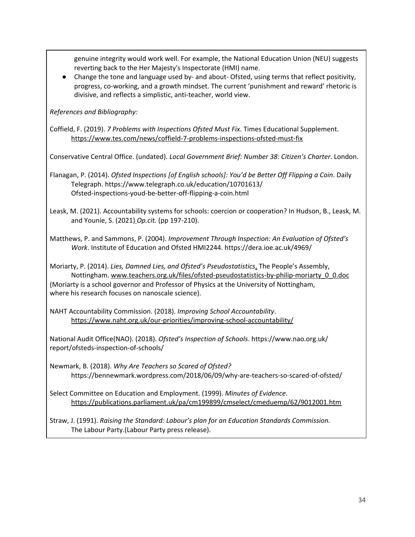genuine integrity would work well. For example, the National Education Union (NEU) suggests reverting back to the Her Majesty's Inspectorate (HMI) name.

● Change the tone and language used by- and about- Ofsted, using terms that reflect positivity, progress, co-working, and a growth mindset. The current 'punishment and reward' rhetoric is divisive, and reflects a simplistic, anti-teacher, world view.

*References and Bibliography:*

Coffield, F. (2019). *7 Problems with Inspections Ofsted Must Fix*. Times Educational Supplement. <https://www.tes.com/news/coffield-7-problems-inspections-ofsted-must-fix>

Conservative Central Office. (undated). *Local Government Brief: Number 38: Citizen's Charter*. London.

Flanagan, P. (2014). *Ofsted Inspections [of English schools]: You'd be Better Off Flipping a Coin*. Daily Telegraph. https://www.telegraph.co.uk/education/10701613/ Ofsted-inspections-youd-be-better-off-flipping-a-coin.html

Leask, M. (2021). Accountability systems for schools: coercion or cooperation? In Hudson, B., Leask, M. and Younie, S. (2021) *[O](https://doi.org/10.4324/9780429261190)p.cit.* (pp 197-210).

Matthews, P. and Sammons, P. (2004). *Improvement Through Inspection: An Evaluation of Ofsted's Work*. Institute of Education and Ofsted HMI2244. https://dera.ioe.ac.uk/4969/

Moriarty, P. (2014). *Lies, Damned Lies, and Ofsted's Pseudostatistics*[.](https://www.nottspeoplesassembly.org/lies_ofsted) The People's Assembly, Nottingham. [www.teachers.org.uk/files/ofsted-pseudostatistics-by-philip-moriarty\\_0\\_0.doc](http://www.teachers.org.uk/files/ofsted-pseudostatistics-by-philip-moriarty_0_0.doc) (Moriarty is a school governor and Professor of Physics at the University of Nottingham, where his research focuses on nanoscale science).

NAHT Accountability Commission. (2018). *Improving School Accountability*. <https://www.naht.org.uk/our-priorities/improving-school-accountability/>

National Audit Office(NAO). (2018). *Ofsted's Inspection of Schools*. https://www.nao.org.uk/ report/ofsteds-inspection-of-schools/

Newmark, B. (2018). *Why Are Teachers so Scared of Ofsted?* https://bennewmark.wordpress.com/2018/06/09/why-are-teachers-so-scared-of-ofsted/

Select Committee on Education and Employment. (1999). *Minutes of Evidence*. <https://publications.parliament.uk/pa/cm199899/cmselect/cmeduemp/62/9012001.htm>

Straw, J. (1991). *Raising the Standard: Labour's plan for an Education Standards Commission.* The Labour Party.(Labour Party press release).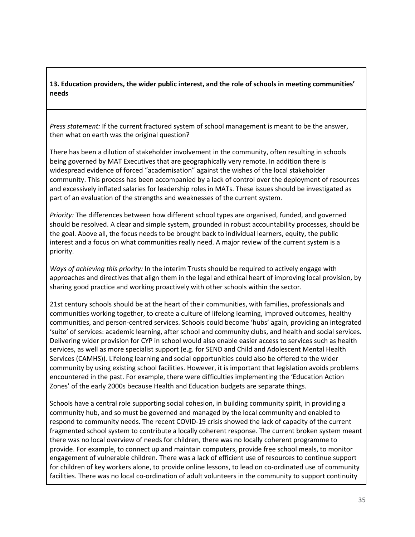## **13. Education providers, the wider public interest, and the role of schools in meeting communities' needs**

*Press statement:* If the current fractured system of school management is meant to be the answer, then what on earth was the original question?

There has been a dilution of stakeholder involvement in the community, often resulting in schools being governed by MAT Executives that are geographically very remote. In addition there is widespread evidence of forced "academisation" against the wishes of the local stakeholder community. This process has been accompanied by a lack of control over the deployment of resources and excessively inflated salaries for leadership roles in MATs. These issues should be investigated as part of an evaluation of the strengths and weaknesses of the current system.

*Priority:* The differences between how different school types are organised, funded, and governed should be resolved. A clear and simple system, grounded in robust accountability processes, should be the goal. Above all, the focus needs to be brought back to individual learners, equity, the public interest and a focus on what communities really need. A major review of the current system is a priority.

*Ways of achieving this priority:* In the interim Trusts should be required to actively engage with approaches and directives that align them in the legal and ethical heart of improving local provision, by sharing good practice and working proactively with other schools within the sector.

21st century schools should be at the heart of their communities, with families, professionals and communities working together, to create a culture of lifelong learning, improved outcomes, healthy communities, and person-centred services. Schools could become 'hubs' again, providing an integrated 'suite' of services: academic learning, after school and community clubs, and health and social services. Delivering wider provision for CYP in school would also enable easier access to services such as health services, as well as more specialist support (e.g. for SEND and Child and Adolescent Mental Health Services (CAMHS)). Lifelong learning and social opportunities could also be offered to the wider community by using existing school facilities. However, it is important that legislation avoids problems encountered in the past. For example, there were difficulties implementing the 'Education Action Zones' of the early 2000s because Health and Education budgets are separate things.

Schools have a central role supporting social cohesion, in building community spirit, in providing a community hub, and so must be governed and managed by the local community and enabled to respond to community needs. The recent COVID-19 crisis showed the lack of capacity of the current fragmented school system to contribute a locally coherent response. The current broken system meant there was no local overview of needs for children, there was no locally coherent programme to provide. For example, to connect up and maintain computers, provide free school meals, to monitor engagement of vulnerable children. There was a lack of efficient use of resources to continue support for children of key workers alone, to provide online lessons, to lead on co-ordinated use of community facilities. There was no local co-ordination of adult volunteers in the community to support continuity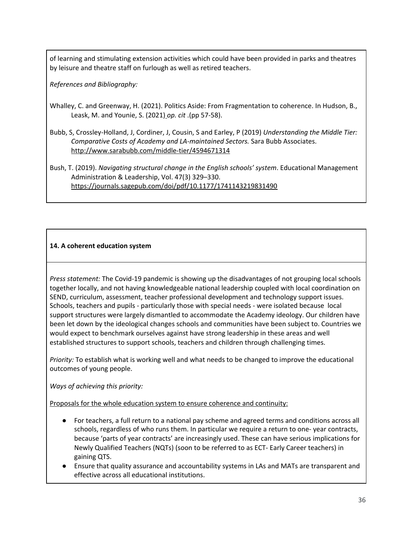of learning and stimulating extension activities which could have been provided in parks and theatres by leisure and theatre staff on furlough as well as retired teachers.

*References and Bibliography:*

- Whalley, C. and Greenway, H. (2021). Politics Aside: From Fragmentation to coherence. In Hudson, B., Leask, M. and Younie, S. (2021) *[o](https://doi.org/10.4324/9780429261190)p. cit* .(pp 57-58).
- Bubb, S, Crossley-Holland, J, Cordiner, J, Cousin, S and Earley, P (2019) *Understanding the Middle Tier: Comparative Costs of Academy and LA-maintained Sectors.* Sara Bubb Associates. <http://www.sarabubb.com/middle-tier/4594671314>

Bush, T. (2019). *Navigating structural change in the English schools' system*. Educational Management Administration & Leadership, Vol. 47(3) 329–330. <https://journals.sagepub.com/doi/pdf/10.1177/1741143219831490>

## **14. A coherent education system**

*Press statement:* The Covid-19 pandemic is showing up the disadvantages of not grouping local schools together locally, and not having knowledgeable national leadership coupled with local coordination on SEND, curriculum, assessment, teacher professional development and technology support issues. Schools, teachers and pupils - particularly those with special needs - were isolated because local support structures were largely dismantled to accommodate the Academy ideology. Our children have been let down by the ideological changes schools and communities have been subject to. Countries we would expect to benchmark ourselves against have strong leadership in these areas and well established structures to support schools, teachers and children through challenging times.

*Priority:* To establish what is working well and what needs to be changed to improve the educational outcomes of young people.

*Ways of achieving this priority:*

Proposals for the whole education system to ensure coherence and continuity:

- For teachers, a full return to a national pay scheme and agreed terms and conditions across all schools, regardless of who runs them. In particular we require a return to one- year contracts, because 'parts of year contracts' are increasingly used. These can have serious implications for Newly Qualified Teachers (NQTs) (soon to be referred to as ECT- Early Career teachers) in gaining QTS.
- Ensure that quality assurance and accountability systems in LAs and MATs are transparent and effective across all educational institutions.